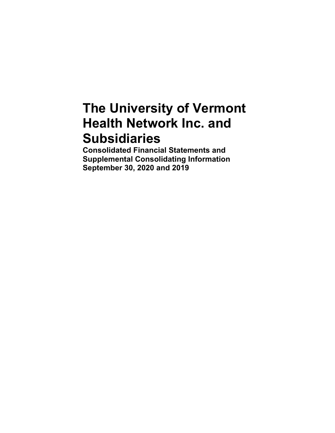# **The University of Vermont Health Network Inc. and Subsidiaries**

**Consolidated Financial Statements and Supplemental Consolidating Information September 30, 2020 and 2019**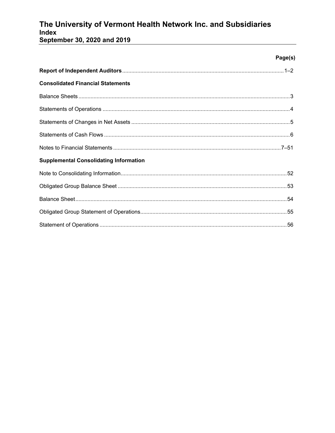## The University of Vermont Health Network Inc. and Subsidiaries Index

September 30, 2020 and 2019

|                                               | Page(s) |
|-----------------------------------------------|---------|
|                                               |         |
| <b>Consolidated Financial Statements</b>      |         |
|                                               |         |
|                                               |         |
|                                               |         |
|                                               |         |
|                                               |         |
| <b>Supplemental Consolidating Information</b> |         |
|                                               |         |
|                                               |         |
|                                               |         |
|                                               |         |
|                                               |         |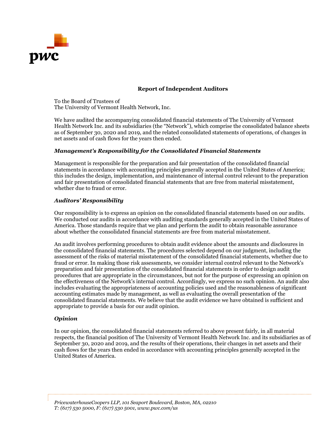

#### **Report of Independent Auditors**

To the Board of Trustees of The University of Vermont Health Network, Inc.

We have audited the accompanying consolidated financial statements of The University of Vermont Health Network Inc. and its subsidiaries (the "Network"), which comprise the consolidated balance sheets as of September 30, 2020 and 2019, and the related consolidated statements of operations, of changes in net assets and of cash flows for the years then ended.

#### *Management's Responsibility for the Consolidated Financial Statements*

Management is responsible for the preparation and fair presentation of the consolidated financial statements in accordance with accounting principles generally accepted in the United States of America; this includes the design, implementation, and maintenance of internal control relevant to the preparation and fair presentation of consolidated financial statements that are free from material misstatement, whether due to fraud or error.

#### *Auditors' Responsibility*

Our responsibility is to express an opinion on the consolidated financial statements based on our audits. We conducted our audits in accordance with auditing standards generally accepted in the United States of America. Those standards require that we plan and perform the audit to obtain reasonable assurance about whether the consolidated financial statements are free from material misstatement.

An audit involves performing procedures to obtain audit evidence about the amounts and disclosures in the consolidated financial statements. The procedures selected depend on our judgment, including the assessment of the risks of material misstatement of the consolidated financial statements, whether due to fraud or error. In making those risk assessments, we consider internal control relevant to the Network's preparation and fair presentation of the consolidated financial statements in order to design audit procedures that are appropriate in the circumstances, but not for the purpose of expressing an opinion on the effectiveness of the Network's internal control. Accordingly, we express no such opinion. An audit also includes evaluating the appropriateness of accounting policies used and the reasonableness of significant accounting estimates made by management, as well as evaluating the overall presentation of the consolidated financial statements. We believe that the audit evidence we have obtained is sufficient and appropriate to provide a basis for our audit opinion.

#### *Opinion*

In our opinion, the consolidated financial statements referred to above present fairly, in all material respects, the financial position of The University of Vermont Health Network Inc. and its subsidiaries as of September 30, 2020 and 2019, and the results of their operations, their changes in net assets and their cash flows for the years then ended in accordance with accounting principles generally accepted in the United States of America.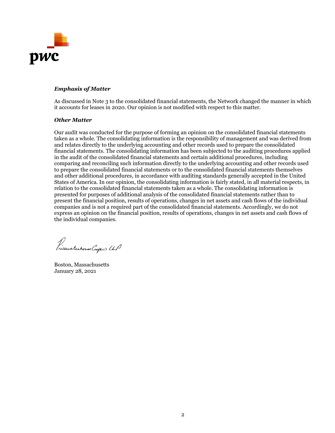

#### *Emphasis of Matter*

As discussed in Note 3 to the consolidated financial statements, the Network changed the manner in which it accounts for leases in 2020. Our opinion is not modified with respect to this matter.

#### *Other Matter*

Our audit was conducted for the purpose of forming an opinion on the consolidated financial statements taken as a whole. The consolidating information is the responsibility of management and was derived from and relates directly to the underlying accounting and other records used to prepare the consolidated financial statements. The consolidating information has been subjected to the auditing procedures applied in the audit of the consolidated financial statements and certain additional procedures, including comparing and reconciling such information directly to the underlying accounting and other records used to prepare the consolidated financial statements or to the consolidated financial statements themselves and other additional procedures, in accordance with auditing standards generally accepted in the United States of America. In our opinion, the consolidating information is fairly stated, in all material respects, in relation to the consolidated financial statements taken as a whole. The consolidating information is presented for purposes of additional analysis of the consolidated financial statements rather than to present the financial position, results of operations, changes in net assets and cash flows of the individual companies and is not a required part of the consolidated financial statements. Accordingly, we do not express an opinion on the financial position, results of operations, changes in net assets and cash flows of the individual companies.

Prieuaterhorse Copers UP

Boston, Massachusetts January 28, 2021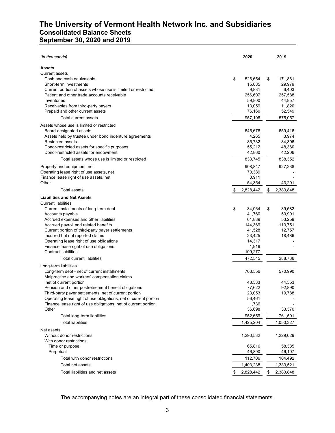### **The University of Vermont Health Network Inc. and Subsidiaries Consolidated Balance Sheets September 30, 2020 and 2019**

| (in thousands)                                                        | 2020            | 2019            |
|-----------------------------------------------------------------------|-----------------|-----------------|
| <b>Assets</b>                                                         |                 |                 |
| <b>Current assets</b>                                                 |                 |                 |
| Cash and cash equivalents                                             | \$<br>526,654   | \$<br>171,861   |
| Short-term investments                                                | 15,085          | 29,979          |
| Current portion of assets whose use is limited or restricted          | 9,831           | 6,403           |
| Patient and other trade accounts receivable                           | 256,607         | 257,588         |
| Inventories                                                           | 59,800          | 44,857          |
| Receivables from third-party payers                                   | 13,059          | 11,820          |
| Prepaid and other current assets                                      | 76,160          | 52,549          |
| Total current assets                                                  | 957,196         | 575,057         |
| Assets whose use is limited or restricted                             |                 |                 |
| Board-designated assets                                               | 645,676         | 659,416         |
| Assets held by trustee under bond indenture agreements                | 4,265           | 3,974           |
| <b>Restricted assets</b>                                              | 85,732          | 84,396          |
| Donor-restricted assets for specific purposes                         | 55,212          | 48,360          |
| Donor-restricted assets for endowment                                 | 42,860          | 42,206          |
| Total assets whose use is limited or restricted                       | 833,745         | 838,352         |
| Property and equipment, net                                           | 908,847         | 927,238         |
| Operating lease right of use assets, net                              | 70,389          |                 |
| Finance lease right of use assets, net                                | 3,911           |                 |
| Other                                                                 | 54,354          | 43,201          |
| <b>Total assets</b>                                                   | \$<br>2,828,442 | \$<br>2,383,848 |
| <b>Liabilities and Net Assets</b>                                     |                 |                 |
| <b>Current liabilities</b>                                            |                 |                 |
| Current installments of long-term debt                                | \$<br>34,064    | \$<br>39,582    |
| Accounts payable                                                      | 41,760          | 50,901          |
| Accrued expenses and other liabilities                                | 61,889          | 53,259          |
| Accrued payroll and related benefits                                  | 144,369         | 113,751         |
| Current portion of third-party payer settlements                      | 41,528          | 12,757          |
| Incurred but not reported claims                                      | 23,425          | 18,486          |
| Operating lease right of use obligations                              | 14,317          |                 |
| Finance lease right of use obligations                                | 1,916           |                 |
| <b>Contract liabilities</b>                                           | 109,277         |                 |
| <b>Total current liabilities</b>                                      | 472,545         | 288,736         |
| Long-term liabilities<br>Long-term debt - net of current installments | 708,556         | 570,990         |
| Malpractice and workers' compensation claims                          |                 |                 |
| net of current portion                                                | 48,533          | 44,553          |
| Pension and other postretirement benefit obligations                  | 77,622          | 92,890          |
| Third-party payer settlements, net of current portion                 | 23,053          | 19.788          |
| Operating lease right of use obligations, net of current portion      | 56,461          |                 |
| Finance lease right of use obligations, net of current portion        | 1,736           |                 |
| Other                                                                 | 36,698          | 33,370          |
| Total long-term liabilities                                           | 952,659         | 761,591         |
| <b>Total liabilities</b>                                              | 1,425,204       | 1,050,327       |
| Net assets                                                            |                 |                 |
| Without donor restrictions                                            | 1,290,532       | 1,229,029       |
| With donor restrictions                                               |                 |                 |
| Time or purpose                                                       | 65,816          | 58,385          |
| Perpetual                                                             | 46,890          | 46,107          |
| Total with donor restrictions                                         | 112,706         | 104,492         |
| Total net assets                                                      | 1,403,238       | 1,333,521       |
| Total liabilities and net assets                                      | \$<br>2,828,442 | \$<br>2,383,848 |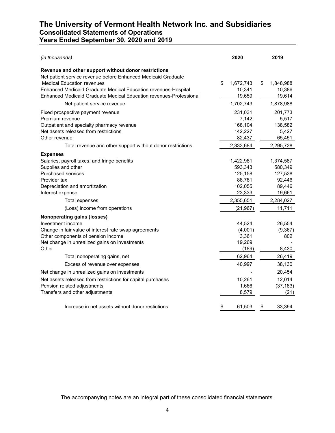### **The University of Vermont Health Network Inc. and Subsidiaries Consolidated Statements of Operations Years Ended September 30, 2020 and 2019**

| (in thousands)                                                                                                                                                            | 2020                                             | 2019                                           |
|---------------------------------------------------------------------------------------------------------------------------------------------------------------------------|--------------------------------------------------|------------------------------------------------|
| Revenue and other support without donor restrictions<br>Net patient service revenue before Enhanced Medicaid Graduate                                                     |                                                  |                                                |
| <b>Medical Education revenues</b><br>Enhanced Medicaid Graduate Medical Education revenues-Hospital<br>Enhanced Medicaid Graduate Medical Education revenues-Professional | \$<br>1,672,743<br>10,341<br>19,659              | \$<br>1,848,988<br>10,386<br>19,614            |
| Net patient service revenue                                                                                                                                               | 1,702,743                                        | 1,878,988                                      |
| Fixed prospective payment revenue<br>Premium revenue<br>Outpatient and specialty pharmacy revenue<br>Net assets released from restrictions<br>Other revenue               | 231,031<br>7,142<br>168,104<br>142,227<br>82,437 | 201,773<br>5,517<br>138,582<br>5,427<br>65,451 |
| Total revenue and other support without donor restrictions                                                                                                                | 2,333,684                                        | 2,295,738                                      |
| <b>Expenses</b>                                                                                                                                                           | 1,422,981                                        | 1,374,587                                      |
| Salaries, payroll taxes, and fringe benefits<br>Supplies and other                                                                                                        | 593,343                                          | 580,349                                        |
| Purchased services                                                                                                                                                        | 125,158                                          | 127,538                                        |
| Provider tax                                                                                                                                                              | 88,781                                           | 92,446                                         |
| Depreciation and amortization                                                                                                                                             | 102,055                                          | 89,446                                         |
| Interest expense                                                                                                                                                          | 23,333                                           | 19,661                                         |
| <b>Total expenses</b>                                                                                                                                                     | 2,355,651                                        | 2,284,027                                      |
| (Loss) income from operations                                                                                                                                             | (21, 967)                                        | 11,711                                         |
| <b>Nonoperating gains (losses)</b>                                                                                                                                        |                                                  |                                                |
| Investment income                                                                                                                                                         | 44,524                                           | 26,554                                         |
| Change in fair value of interest rate swap agreements                                                                                                                     | (4,001)                                          | (9,367)                                        |
| Other components of pension income                                                                                                                                        | 3,361                                            | 802                                            |
| Net change in unrealized gains on investments<br>Other                                                                                                                    | 19,269<br>(189)                                  | 8,430                                          |
| Total nonoperating gains, net                                                                                                                                             | 62,964                                           | 26,419                                         |
| Excess of revenue over expenses                                                                                                                                           | 40,997                                           | 38,130                                         |
| Net change in unrealized gains on investments                                                                                                                             |                                                  | 20,454                                         |
| Net assets released from restrictions for capital purchases                                                                                                               | 10,261                                           | 12,014                                         |
| Pension related adjustments                                                                                                                                               | 1,666                                            | (37, 183)                                      |
| Transfers and other adjustments                                                                                                                                           | 8,579                                            | (21)                                           |
| Increase in net assets without donor restictions                                                                                                                          | 61,503<br>\$                                     | 33,394<br>\$                                   |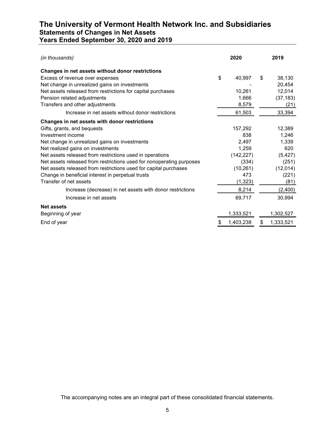### **The University of Vermont Health Network Inc. and Subsidiaries Statements of Changes in Net Assets Years Ended September 30, 2020 and 2019**

| (in thousands)                                                       | 2020 |            | 2019            |
|----------------------------------------------------------------------|------|------------|-----------------|
| Changes in net assets without donor restrictions                     |      |            |                 |
| Excess of revenue over expenses                                      | \$   | 40,997     | \$<br>38,130    |
| Net change in unrealized gains on investments                        |      |            | 20,454          |
| Net assets released from restrictions for capital purchases          |      | 10,261     | 12,014          |
| Pension related adjustments                                          |      | 1,666      | (37, 183)       |
| Transfers and other adjustments                                      |      | 8,579      | (21)            |
| Increase in net assets without donor restrictions                    |      | 61,503     | 33,394          |
| Changes in net assets with donor restrictions                        |      |            |                 |
| Gifts, grants, and bequests                                          |      | 157,292    | 12,389          |
| Investment income                                                    |      | 838        | 1,246           |
| Net change in unrealized gains on investments                        |      | 2,497      | 1,339           |
| Net realized gains on investments                                    |      | 1,259      | 620             |
| Net assets released from restrictions used in operations             |      | (142, 227) | (5, 427)        |
| Net assets released from restrictions used for nonoperating purposes |      | (334)      | (251)           |
| Net assets released from restrictions used for capital purchases     |      | (10, 261)  | (12,014)        |
| Change in beneficial interest in perpetual trusts                    |      | 473        | (221)           |
| Transfer of net assets                                               |      | (1, 323)   | (81)            |
| Increase (decrease) in net assets with donor restrictions            |      | 8,214      | (2,400)         |
| Increase in net assets                                               |      | 69,717     | 30,994          |
| <b>Net assets</b>                                                    |      |            |                 |
| Beginning of year                                                    |      | 1,333,521  | 1,302,527       |
| End of year                                                          | S    | 1,403,238  | \$<br>1,333,521 |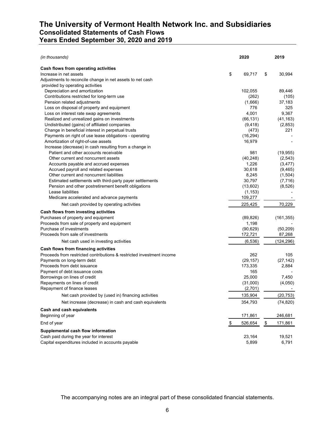### **The University of Vermont Health Network Inc. and Subsidiaries Consolidated Statements of Cash Flows Years Ended September 30, 2020 and 2019**

| (in thousands)                                                                         | 2020               | 2019          |                          |
|----------------------------------------------------------------------------------------|--------------------|---------------|--------------------------|
| <b>Cash flows from operating activities</b>                                            |                    |               |                          |
| Increase in net assets                                                                 | \$<br>69,717       | \$            | 30,994                   |
| Adjustments to reconcile change in net assets to net cash                              |                    |               |                          |
| provided by operating activities                                                       |                    |               |                          |
| Depreciation and amortization                                                          | 102,055            |               | 89,446                   |
| Contributions restricted for long-term use                                             | (262)              |               | (105)                    |
| Pension related adjustments                                                            | (1,666)            |               | 37,183                   |
| Loss on disposal of property and equipment                                             | 776                |               | 325                      |
| Loss on interest rate swap agreements                                                  | 4,001              |               | 9,367                    |
| Realized and unrealized gains on investments                                           | (66, 131)          |               | (41, 163)                |
| Undistributed (gains) of affiliated companies                                          | (9, 418)           |               | (2,853)                  |
| Change in beneficial interest in perpetual trusts                                      | (473)              |               | 221                      |
| Payments on right of use lease obligations - operating                                 | (16, 294)          |               |                          |
| Amortization of right-of-use assets                                                    | 16,979             |               |                          |
| Increase (decrease) in cash resulting from a change in                                 |                    |               |                          |
| Patient and other accounts receivable                                                  | 981                |               | (19, 955)                |
| Other current and noncurrent assets                                                    | (40, 248)          |               | (2,543)                  |
| Accounts payable and accrued expenses                                                  | 1,226              |               | (3, 477)                 |
| Accrued payroll and related expenses                                                   | 30,618             |               | (9,465)                  |
| Other current and noncurrent liabilities                                               | 8,245              |               | (1,504)                  |
| Estimated settlements with third-party payer settlements                               | 30,797             |               | (7,716)                  |
| Pension and other postretirement benefit obligations                                   | (13,602)           |               | (8,526)                  |
| Lease liabilities                                                                      | (1, 153)           |               |                          |
| Medicare accelerated and advance payments<br>Net cash provided by operating activities | 109,277<br>225,425 |               | 70,229                   |
|                                                                                        |                    |               |                          |
| Cash flows from investing activities                                                   |                    |               |                          |
| Purchases of property and equipment                                                    | (89, 826)          |               | (161, 355)               |
| Proceeds from sale of property and equipment                                           | 1,198              |               |                          |
| Purchase of investments                                                                | (90, 629)          |               | (50, 209)                |
| Proceeds from sale of investments                                                      | 172,721            |               | 87,268                   |
| Net cash used in investing activities                                                  | (6,536)            |               | (124, 296)               |
| Cash flows from financing activities                                                   |                    |               |                          |
| Proceeds from restricted contributions & restricted investment income                  | 262                |               | 105                      |
| Payments on long-term debt                                                             | (29, 157)          |               | (27, 142)                |
| Proceeds from debt issuance                                                            | 173,335            |               | 2,884                    |
| Payment of debt issuance costs                                                         | 165                |               |                          |
| Borrowings on lines of credit                                                          | 25,000             |               | 7,450                    |
| Repayments on lines of credit                                                          | (31,000)           |               | (4,050)                  |
| Repayment of finance leases                                                            | (2,701)            |               | $\overline{\phantom{a}}$ |
| Net cash provided by (used in) financing activities                                    | 135,904            |               | (20, 753)                |
| Net increase (decrease) in cash and cash equivalents                                   | 354,793            |               | (74, 820)                |
| Cash and cash equivalents                                                              |                    |               |                          |
| Beginning of year                                                                      | 171,861            |               | 246,681                  |
| End of year                                                                            | \$<br>526,654      | $\frac{1}{2}$ | 171,861                  |
| Supplemental cash flow information                                                     |                    |               |                          |
| Cash paid during the year for interest                                                 | 23,164             |               | 19,521                   |
| Capital expenditures included in accounts payable                                      | 5,899              |               | 6,791                    |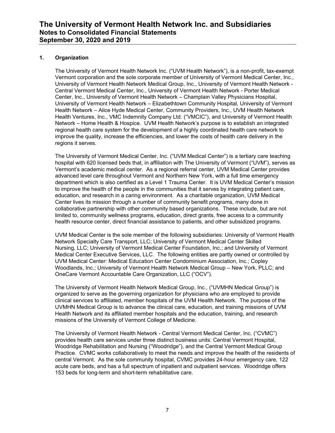#### **1. Organization**

The University of Vermont Health Network Inc. ("UVM Health Network"), is a non-profit, tax-exempt Vermont corporation and the sole corporate member of University of Vermont Medical Center, Inc., University of Vermont Health Network Medical Group, Inc., University of Vermont Health Network - Central Vermont Medical Center, Inc., University of Vermont Health Network - Porter Medical Center, Inc., University of Vermont Health Network – Champlain Valley Physicians Hospital, University of Vermont Health Network – Elizabethtown Community Hospital, University of Vermont Health Network – Alice Hyde Medical Center, Community Providers, Inc., UVM Health Network Health Ventures, Inc., VMC Indemnity Company Ltd. ("VMCIC"), and University of Vermont Health Network – Home Health & Hospice. UVM Health Network's purpose is to establish an integrated regional health care system for the development of a highly coordinated health care network to improve the quality, increase the efficiencies, and lower the costs of health care delivery in the regions it serves.

The University of Vermont Medical Center, Inc. ("UVM Medical Center") is a tertiary care teaching hospital with 620 licensed beds that, in affiliation with The University of Vermont ("UVM"), serves as Vermont's academic medical center. As a regional referral center, UVM Medical Center provides advanced level care throughout Vermont and Northern New York, with a full time emergency department which is also certified as a Level 1 Trauma Center. It is UVM Medical Center's mission to improve the health of the people in the communities that it serves by integrating patient care, education, and research in a caring environment. As a charitable organization, UVM Medical Center lives its mission through a number of community benefit programs, many done in collaborative partnership with other community based organizations. These include, but are not limited to, community wellness programs, education, direct grants, free access to a community health resource center, direct financial assistance to patients, and other subsidized programs.

UVM Medical Center is the sole member of the following subsidiaries: University of Vermont Health Network Specialty Care Transport, LLC; University of Vermont Medical Center Skilled Nursing, LLC; University of Vermont Medical Center Foundation, Inc.; and University of Vermont Medical Center Executive Services, LLC. The following entities are partly owned or controlled by UVM Medical Center: Medical Education Center Condominium Association, Inc.; Copley Woodlands, Inc.; University of Vermont Health Network Medical Group – New York, PLLC; and OneCare Vermont Accountable Care Organization, LLC ("OCV").

The University of Vermont Health Network Medical Group, Inc., ("UVMHN Medical Group") is organized to serve as the governing organization for physicians who are employed to provide clinical services to affiliated, member hospitals of the UVM Health Network. The purpose of the UVMHN Medical Group is to advance the clinical care, education, and training missions of UVM Health Network and its affiliated member hospitals and the education, training, and research missions of the University of Vermont College of Medicine.

The University of Vermont Health Network - Central Vermont Medical Center, Inc. ("CVMC") provides health care services under three distinct business units: Central Vermont Hospital, Woodridge Rehabilitation and Nursing ("Woodridge"), and the Central Vermont Medical Group Practice. CVMC works collaboratively to meet the needs and improve the health of the residents of central Vermont. As the sole community hospital, CVMC provides 24-hour emergency care, 122 acute care beds, and has a full spectrum of inpatient and outpatient services. Woodridge offers 153 beds for long-term and short-term rehabilitative care.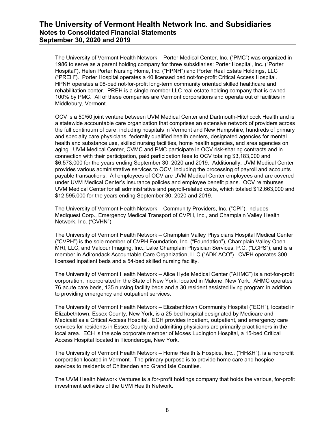The University of Vermont Health Network – Porter Medical Center, Inc. ("PMC") was organized in 1986 to serve as a parent holding company for three subsidiaries: Porter Hospital, Inc. ("Porter Hospital"), Helen Porter Nursing Home, Inc. ("HPNH") and Porter Real Estate Holdings, LLC ("PREH"). Porter Hospital operates a 40 licensed bed not-for-profit Critical Access Hospital. HPNH operates a 98-bed not-for-profit long-term community oriented skilled healthcare and rehabilitation center. PREH is a single-member LLC real estate holding company that is owned 100% by PMC. All of these companies are Vermont corporations and operate out of facilities in Middlebury, Vermont.

OCV is a 50/50 joint venture between UVM Medical Center and Dartmouth-Hitchcock Health and is a statewide accountable care organization that comprises an extensive network of providers across the full continuum of care, including hospitals in Vermont and New Hampshire, hundreds of primary and specialty care physicians, federally qualified health centers, designated agencies for mental health and substance use, skilled nursing facilities, home health agencies, and area agencies on aging. UVM Medical Center, CVMC and PMC participate in OCV risk-sharing contracts and in connection with their participation, paid participation fees to OCV totaling \$3,183,000 and \$6,573,000 for the years ending September 30, 2020 and 2019. Additionally, UVM Medical Center provides various administrative services to OCV, including the processing of payroll and accounts payable transactions. All employees of OCV are UVM Medical Center employees and are covered under UVM Medical Center's insurance policies and employee benefit plans. OCV reimburses UVM Medical Center for all administrative and payroll-related costs, which totaled \$12,663,000 and \$12,595,000 for the years ending September 30, 2020 and 2019.

The University of Vermont Health Network – Community Providers, Inc. ("CPI"), includes Mediquest Corp., Emergency Medical Transport of CVPH, Inc., and Champlain Valley Health Network, Inc. ("CVHN").

The University of Vermont Health Network – Champlain Valley Physicians Hospital Medical Center ("CVPH") is the sole member of CVPH Foundation, Inc. ("Foundation"), Champlain Valley Open MRI, LLC, and Valcour Imaging, Inc., Lake Champlain Physician Services, P.C. ("LCPS"), and is a member in Adirondack Accountable Care Organization, LLC ("ADK ACO"). CVPH operates 300 licensed inpatient beds and a 54-bed skilled nursing facility.

The University of Vermont Health Network – Alice Hyde Medical Center ("AHMC") is a not-for-profit corporation, incorporated in the State of New York, located in Malone, New York. AHMC operates 76 acute care beds, 135 nursing facility beds and a 30 resident assisted living program in addition to providing emergency and outpatient services.

The University of Vermont Health Network – Elizabethtown Community Hospital ("ECH"), located in Elizabethtown, Essex County, New York, is a 25-bed hospital designated by Medicare and Medicaid as a Critical Access Hospital. ECH provides inpatient, outpatient, and emergency care services for residents in Essex County and admitting physicians are primarily practitioners in the local area. ECH is the sole corporate member of Moses Ludington Hospital, a 15-bed Critical Access Hospital located in Ticonderoga, New York.

The University of Vermont Health Network – Home Health & Hospice, Inc., ("HH&H"), is a nonprofit corporation located in Vermont. The primary purpose is to provide home care and hospice services to residents of Chittenden and Grand Isle Counties.

The UVM Health Network Ventures is a for-profit holdings company that holds the various, for-profit investment activities of the UVM Health Network.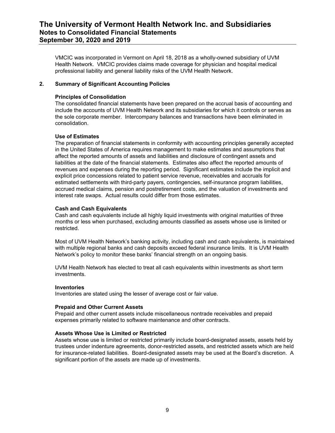VMCIC was incorporated in Vermont on April 18, 2018 as a wholly-owned subsidiary of UVM Health Network. VMCIC provides claims made coverage for physician and hospital medical professional liability and general liability risks of the UVM Health Network.

#### **2. Summary of Significant Accounting Policies**

#### **Principles of Consolidation**

The consolidated financial statements have been prepared on the accrual basis of accounting and include the accounts of UVM Health Network and its subsidiaries for which it controls or serves as the sole corporate member. Intercompany balances and transactions have been eliminated in consolidation.

#### **Use of Estimates**

The preparation of financial statements in conformity with accounting principles generally accepted in the United States of America requires management to make estimates and assumptions that affect the reported amounts of assets and liabilities and disclosure of contingent assets and liabilities at the date of the financial statements. Estimates also affect the reported amounts of revenues and expenses during the reporting period. Significant estimates include the implicit and explicit price concessions related to patient service revenue, receivables and accruals for estimated settlements with third-party payers, contingencies, self-insurance program liabilities, accrued medical claims, pension and postretirement costs, and the valuation of investments and interest rate swaps. Actual results could differ from those estimates.

#### **Cash and Cash Equivalents**

Cash and cash equivalents include all highly liquid investments with original maturities of three months or less when purchased, excluding amounts classified as assets whose use is limited or restricted.

Most of UVM Health Network's banking activity, including cash and cash equivalents, is maintained with multiple regional banks and cash deposits exceed federal insurance limits. It is UVM Health Network's policy to monitor these banks' financial strength on an ongoing basis.

UVM Health Network has elected to treat all cash equivalents within investments as short term investments.

#### **Inventories**

Inventories are stated using the lesser of average cost or fair value.

#### **Prepaid and Other Current Assets**

Prepaid and other current assets include miscellaneous nontrade receivables and prepaid expenses primarily related to software maintenance and other contracts.

#### **Assets Whose Use is Limited or Restricted**

Assets whose use is limited or restricted primarily include board-designated assets, assets held by trustees under indenture agreements, donor-restricted assets, and restricted assets which are held for insurance-related liabilities. Board-designated assets may be used at the Board's discretion. A significant portion of the assets are made up of investments.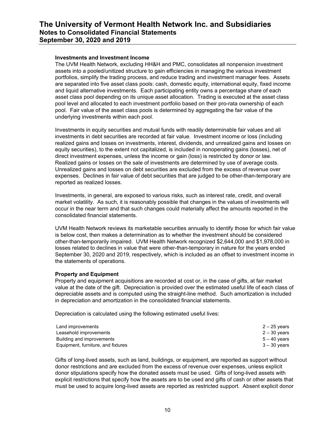#### **Investments and Investment Income**

The UVM Health Network, excluding HH&H and PMC, consolidates all nonpension investment assets into a pooled/unitized structure to gain efficiencies in managing the various investment portfolios, simplify the trading process, and reduce trading and investment manager fees. Assets are separated into five asset class pools: cash, domestic equity, international equity, fixed income and liquid alternative investments. Each participating entity owns a percentage share of each asset class pool depending on its unique asset allocation. Trading is executed at the asset class pool level and allocated to each investment portfolio based on their pro-rata ownership of each pool. Fair value of the asset class pools is determined by aggregating the fair value of the underlying investments within each pool.

Investments in equity securities and mutual funds with readily determinable fair values and all investments in debt securities are recorded at fair value. Investment income or loss (including realized gains and losses on investments, interest, dividends, and unrealized gains and losses on equity securities), to the extent not capitalized, is included in nonoperating gains (losses), net of direct investment expenses, unless the income or gain (loss) is restricted by donor or law. Realized gains or losses on the sale of investments are determined by use of average costs. Unrealized gains and losses on debt securities are excluded from the excess of revenue over expenses. Declines in fair value of debt securities that are judged to be other-than-temporary are reported as realized losses.

Investments, in general, are exposed to various risks, such as interest rate, credit, and overall market volatility. As such, it is reasonably possible that changes in the values of investments will occur in the near term and that such changes could materially affect the amounts reported in the consolidated financial statements.

UVM Health Network reviews its marketable securities annually to identify those for which fair value is below cost, then makes a determination as to whether the investment should be considered other-than-temporarily impaired. UVM Health Network recognized \$2,644,000 and \$1,978,000 in losses related to declines in value that were other-than-temporary in nature for the years ended September 30, 2020 and 2019, respectively, which is included as an offset to investment income in the statements of operations.

#### **Property and Equipment**

Property and equipment acquisitions are recorded at cost or, in the case of gifts, at fair market value at the date of the gift. Depreciation is provided over the estimated useful life of each class of depreciable assets and is computed using the straight-line method. Such amortization is included in depreciation and amortization in the consolidated financial statements.

Depreciation is calculated using the following estimated useful lives:

| Land improvements                  | 2 – 25 vears |
|------------------------------------|--------------|
| Leasehold improvements             | 2 – 30 vears |
| Building and improvements          | 5 – 40 vears |
| Equipment, furniture, and fixtures | 3 – 30 vears |

Gifts of long-lived assets, such as land, buildings, or equipment, are reported as support without donor restrictions and are excluded from the excess of revenue over expenses, unless explicit donor stipulations specify how the donated assets must be used. Gifts of long-lived assets with explicit restrictions that specify how the assets are to be used and gifts of cash or other assets that must be used to acquire long-lived assets are reported as restricted support. Absent explicit donor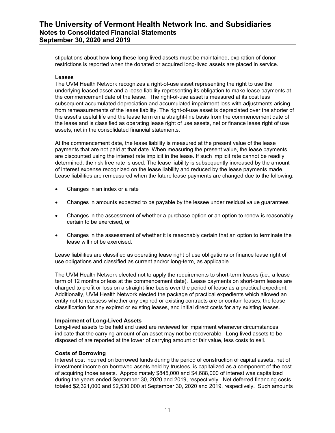stipulations about how long these long-lived assets must be maintained, expiration of donor restrictions is reported when the donated or acquired long-lived assets are placed in service.

#### **Leases**

The UVM Health Network recognizes a right-of-use asset representing the right to use the underlying leased asset and a lease liability representing its obligation to make lease payments at the commencement date of the lease. The right-of-use asset is measured at its cost less subsequent accumulated depreciation and accumulated impairment loss with adjustments arising from remeasurements of the lease liability. The right-of-use asset is depreciated over the shorter of the asset's useful life and the lease term on a straight-line basis from the commencement date of the lease and is classified as operating lease right of use assets, net or finance lease right of use assets, net in the consolidated financial statements.

At the commencement date, the lease liability is measured at the present value of the lease payments that are not paid at that date. When measuring the present value, the lease payments are discounted using the interest rate implicit in the lease. If such implicit rate cannot be readily determined, the risk free rate is used. The lease liability is subsequently increased by the amount of interest expense recognized on the lease liability and reduced by the lease payments made. Lease liabilities are remeasured when the future lease payments are changed due to the following:

- Changes in an index or a rate
- Changes in amounts expected to be payable by the lessee under residual value guarantees
- Changes in the assessment of whether a purchase option or an option to renew is reasonably certain to be exercised, or
- Changes in the assessment of whether it is reasonably certain that an option to terminate the lease will not be exercised.

Lease liabilities are classified as operating lease right of use obligations or finance lease right of use obligations and classified as current and/or long-term, as applicable.

The UVM Health Network elected not to apply the requirements to short-term leases (i.e., a lease term of 12 months or less at the commencement date). Lease payments on short-term leases are charged to profit or loss on a straight-line basis over the period of lease as a practical expedient. Additionally, UVM Health Network elected the package of practical expedients which allowed an entity not to reassess whether any expired or existing contracts are or contain leases, the lease classification for any expired or existing leases, and initial direct costs for any existing leases.

#### **Impairment of Long-Lived Assets**

Long-lived assets to be held and used are reviewed for impairment whenever circumstances indicate that the carrying amount of an asset may not be recoverable. Long-lived assets to be disposed of are reported at the lower of carrying amount or fair value, less costs to sell.

#### **Costs of Borrowing**

Interest cost incurred on borrowed funds during the period of construction of capital assets, net of investment income on borrowed assets held by trustees, is capitalized as a component of the cost of acquiring those assets. Approximately \$845,000 and \$4,688,000 of interest was capitalized during the years ended September 30, 2020 and 2019, respectively. Net deferred financing costs totaled \$2,321,000 and \$2,530,000 at September 30, 2020 and 2019, respectively. Such amounts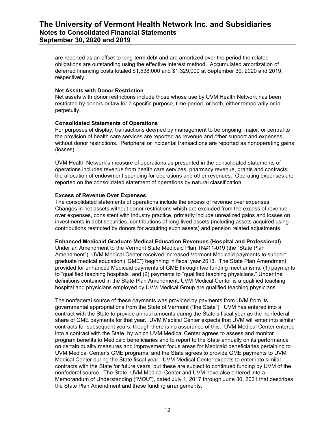are reported as an offset to long-term debt and are amortized over the period the related obligations are outstanding using the effective interest method. Accumulated amortization of deferred financing costs totaled \$1,538,000 and \$1,329,000 at September 30, 2020 and 2019, respectively.

#### **Net Assets with Donor Restriction**

Net assets with donor restrictions include those whose use by UVM Health Network has been restricted by donors or law for a specific purpose, time period, or both, either temporarily or in perpetuity.

#### **Consolidated Statements of Operations**

For purposes of display, transactions deemed by management to be ongoing, major, or central to the provision of health care services are reported as revenue and other support and expenses without donor restrictions. Peripheral or incidental transactions are reported as nonoperating gains (losses).

UVM Health Network's measure of operations as presented in the consolidated statements of operations includes revenue from health care services, pharmacy revenue, grants and contracts, the allocation of endowment spending for operations and other revenues. Operating expenses are reported on the consolidated statement of operations by natural classification.

#### **Excess of Revenue Over Expenses**

The consolidated statements of operations include the excess of revenue over expenses. Changes in net assets without donor restrictions which are excluded from the excess of revenue over expenses, consistent with industry practice, primarily include unrealized gains and losses on investments in debt securities, contributions of long-lived assets (including assets acquired using contributions restricted by donors for acquiring such assets) and pension related adjustments.

#### **Enhanced Medicaid Graduate Medical Education Revenues (Hospital and Professional)**

Under an Amendment to the Vermont State Medicaid Plan TN#11-019 (the "State Plan Amendment"), UVM Medical Center received increased Vermont Medicaid payments to support graduate medical education ("GME") beginning in fiscal year 2013. The State Plan Amendment provided for enhanced Medicaid payments of GME through two funding mechanisms: (1) payments to "qualified teaching hospitals" and (2) payments to "qualified teaching physicians." Under the definitions contained in the State Plan Amendment, UVM Medical Center is a qualified teaching hospital and physicians employed by UVM Medical Group are qualified teaching physicians.

The nonfederal source of these payments was provided by payments from UVM from its governmental appropriations from the State of Vermont ("the State"). UVM has entered into a contract with the State to provide annual amounts during the State's fiscal year as the nonfederal share of GME payments for that year. UVM Medical Center expects that UVM will enter into similar contracts for subsequent years, though there is no assurance of this. UVM Medical Center entered into a contract with the State, by which UVM Medical Center agrees to assess and monitor program benefits to Medicaid beneficiaries and to report to the State annually on its performance on certain quality measures and improvement focus areas for Medicaid beneficiaries pertaining to UVM Medical Center's GME programs, and the State agrees to provide GME payments to UVM Medical Center during the State fiscal year. UVM Medical Center expects to enter into similar contracts with the State for future years, but these are subject to continued funding by UVM of the nonfederal source. The State, UVM Medical Center and UVM have also entered into a Memorandum of Understanding ("MOU"), dated July 1, 2017 through June 30, 2021 that describes the State Plan Amendment and these funding arrangements.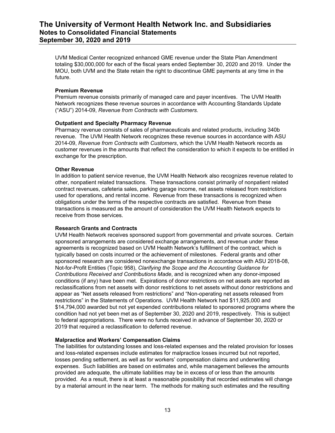UVM Medical Center recognized enhanced GME revenue under the State Plan Amendment totaling \$30,000,000 for each of the fiscal years ended September 30, 2020 and 2019. Under the MOU, both UVM and the State retain the right to discontinue GME payments at any time in the future.

#### **Premium Revenue**

Premium revenue consists primarily of managed care and payer incentives. The UVM Health Network recognizes these revenue sources in accordance with Accounting Standards Update ("ASU") 2014-09, *Revenue from Contracts with Customers.* 

#### **Outpatient and Specialty Pharmacy Revenue**

Pharmacy revenue consists of sales of pharmaceuticals and related products, including 340b revenue. The UVM Health Network recognizes these revenue sources in accordance with ASU 2014-09, *Revenue from Contracts with Customers*, which the UVM Health Network records as customer revenues in the amounts that reflect the consideration to which it expects to be entitled in exchange for the prescription.

#### **Other Revenue**

In addition to patient service revenue, the UVM Health Network also recognizes revenue related to other, nonpatient related transactions. These transactions consist primarily of nonpatient related contract revenues, cafeteria sales, parking garage income, net assets released from restrictions used for operations, and rental income. Revenue from these transactions is recognized when obligations under the terms of the respective contracts are satisfied. Revenue from these transactions is measured as the amount of consideration the UVM Health Network expects to receive from those services.

#### **Research Grants and Contracts**

UVM Health Network receives sponsored support from governmental and private sources. Certain sponsored arrangements are considered exchange arrangements, and revenue under these agreements is recognized based on UVM Health Network's fulfillment of the contract, which is typically based on costs incurred or the achievement of milestones. Federal grants and other sponsored research are considered nonexchange transactions in accordance with ASU 2018-08, Not-for-Profit Entities (Topic 958), *Clarifying the Scope and the Accounting Guidance for Contributions Received and Contributions Made*, and is recognized when any donor-imposed conditions (if any) have been met. Expirations of donor restrictions on net assets are reported as reclassifications from net assets with donor restrictions to net assets without donor restrictions and appear as "Net assets released from restrictions" and "Non-operating net assets released from restrictions" in the Statements of Operations. UVM Health Network had \$11,925,000 and \$14,794,000 awarded but not yet expended contributions related to sponsored programs where the condition had not yet been met as of September 30, 2020 and 2019, respectively. This is subject to federal appropriations. There were no funds received in advance of September 30, 2020 or 2019 that required a reclassification to deferred revenue.

#### **Malpractice and Workers' Compensation Claims**

The liabilities for outstanding losses and loss-related expenses and the related provision for losses and loss-related expenses include estimates for malpractice losses incurred but not reported, losses pending settlement, as well as for workers' compensation claims and underwriting expenses. Such liabilities are based on estimates and, while management believes the amounts provided are adequate, the ultimate liabilities may be in excess of or less than the amounts provided. As a result, there is at least a reasonable possibility that recorded estimates will change by a material amount in the near term. The methods for making such estimates and the resulting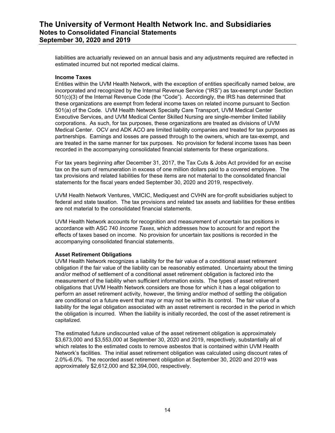liabilities are actuarially reviewed on an annual basis and any adjustments required are reflected in estimated incurred but not reported medical claims.

#### **Income Taxes**

Entities within the UVM Health Network, with the exception of entities specifically named below, are incorporated and recognized by the Internal Revenue Service ("IRS") as tax-exempt under Section 501(c)(3) of the Internal Revenue Code (the "Code"). Accordingly, the IRS has determined that these organizations are exempt from federal income taxes on related income pursuant to Section 501(a) of the Code. UVM Health Network Specialty Care Transport, UVM Medical Center Executive Services, and UVM Medical Center Skilled Nursing are single-member limited liability corporations. As such, for tax purposes, these organizations are treated as divisions of UVM Medical Center. OCV and ADK ACO are limited liability companies and treated for tax purposes as partnerships. Earnings and losses are passed through to the owners, which are tax-exempt, and are treated in the same manner for tax purposes. No provision for federal income taxes has been recorded in the accompanying consolidated financial statements for these organizations.

For tax years beginning after December 31, 2017, the Tax Cuts & Jobs Act provided for an excise tax on the sum of remuneration in excess of one million dollars paid to a covered employee. The tax provisions and related liabilities for these items are not material to the consolidated financial statements for the fiscal years ended September 30, 2020 and 2019, respectively.

UVM Health Network Ventures, VMCIC, Mediquest and CVHN are for-profit subsidiaries subject to federal and state taxation. The tax provisions and related tax assets and liabilities for these entities are not material to the consolidated financial statements.

UVM Health Network accounts for recognition and measurement of uncertain tax positions in accordance with ASC 740 *Income Taxes*, which addresses how to account for and report the effects of taxes based on income. No provision for uncertain tax positions is recorded in the accompanying consolidated financial statements.

#### **Asset Retirement Obligations**

UVM Health Network recognizes a liability for the fair value of a conditional asset retirement obligation if the fair value of the liability can be reasonably estimated. Uncertainty about the timing and/or method of settlement of a conditional asset retirement obligation is factored into the measurement of the liability when sufficient information exists. The types of asset retirement obligations that UVM Health Network considers are those for which it has a legal obligation to perform an asset retirement activity, however, the timing and/or method of settling the obligation are conditional on a future event that may or may not be within its control. The fair value of a liability for the legal obligation associated with an asset retirement is recorded in the period in which the obligation is incurred. When the liability is initially recorded, the cost of the asset retirement is capitalized.

The estimated future undiscounted value of the asset retirement obligation is approximately \$3,673,000 and \$3,553,000 at September 30, 2020 and 2019, respectively, substantially all of which relates to the estimated costs to remove asbestos that is contained within UVM Health Network's facilities. The initial asset retirement obligation was calculated using discount rates of 2.0%-6.0%. The recorded asset retirement obligation at September 30, 2020 and 2019 was approximately \$2,612,000 and \$2,394,000, respectively.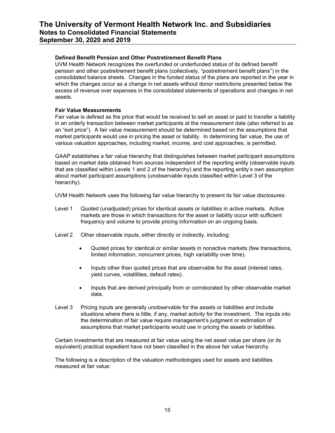#### **Defined Benefit Pension and Other Postretirement Benefit Plans**

UVM Health Network recognizes the overfunded or underfunded status of its defined benefit pension and other postretirement benefit plans (collectively, "postretirement benefit plans") in the consolidated balance sheets. Changes in the funded status of the plans are reported in the year in which the changes occur as a change in net assets without donor restrictions presented below the excess of revenue over expenses in the consolidated statements of operations and changes in net assets.

#### **Fair Value Measurements**

Fair value is defined as the price that would be received to sell an asset or paid to transfer a liability in an orderly transaction between market participants at the measurement date (also referred to as an "exit price"). A fair value measurement should be determined based on the assumptions that market participants would use in pricing the asset or liability. In determining fair value, the use of various valuation approaches, including market, income, and cost approaches, is permitted.

GAAP establishes a fair value hierarchy that distinguishes between market participant assumptions based on market data obtained from sources independent of the reporting entity (observable inputs that are classified within Levels 1 and 2 of the hierarchy) and the reporting entity's own assumption about market participant assumptions (unobservable inputs classified within Level 3 of the hierarchy).

UVM Health Network uses the following fair value hierarchy to present its fair value disclosures:

- Level 1 Quoted (unadjusted) prices for identical assets or liabilities in active markets. Active markets are those in which transactions for the asset or liability occur with sufficient frequency and volume to provide pricing information on an ongoing basis.
- Level 2 Other observable inputs, either directly or indirectly, including:
	- Quoted prices for identical or similar assets in nonactive markets (few transactions, limited information, noncurrent prices, high variability over time).
	- Inputs other than quoted prices that are observable for the asset (interest rates, yield curves, volatilities, default rates).
	- Inputs that are derived principally from or corroborated by other observable market data.
- Level 3 Pricing inputs are generally unobservable for the assets or liabilities and include situations where there is little, if any, market activity for the investment. The inputs into the determination of fair value require management's judgment or estimation of assumptions that market participants would use in pricing the assets or liabilities.

Certain investments that are measured at fair value using the net asset value per share (or its equivalent) practical expedient have not been classified in the above fair value hierarchy.

The following is a description of the valuation methodologies used for assets and liabilities measured at fair value: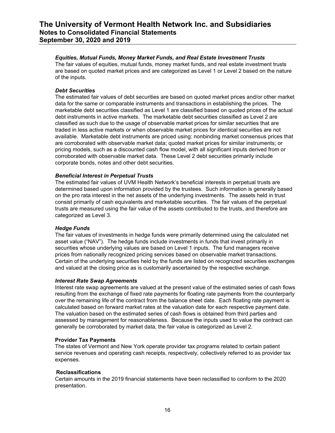#### *Equities, Mutual Funds, Money Market Funds, and Real Estate Investment Trusts*

The fair values of equities, mutual funds, money market funds, and real estate investment trusts are based on quoted market prices and are categorized as Level 1 or Level 2 based on the nature of the inputs.

#### *Debt Securities*

The estimated fair values of debt securities are based on quoted market prices and/or other market data for the same or comparable instruments and transactions in establishing the prices. The marketable debt securities classified as Level 1 are classified based on quoted prices of the actual debt instruments in active markets. The marketable debt securities classified as Level 2 are classified as such due to the usage of observable market prices for similar securities that are traded in less active markets or when observable market prices for identical securities are not available. Marketable debt instruments are priced using: nonbinding market consensus prices that are corroborated with observable market data; quoted market prices for similar instruments; or pricing models, such as a discounted cash flow model, with all significant inputs derived from or corroborated with observable market data. These Level 2 debt securities primarily include corporate bonds, notes and other debt securities.

#### *Beneficial Interest in Perpetual Trusts*

The estimated fair values of UVM Health Network's beneficial interests in perpetual trusts are determined based upon information provided by the trustees. Such information is generally based on the pro rata interest in the net assets of the underlying investments. The assets held in trust consist primarily of cash equivalents and marketable securities. The fair values of the perpetual trusts are measured using the fair value of the assets contributed to the trusts, and therefore are categorized as Level 3.

#### *Hedge Funds*

The fair values of investments in hedge funds were primarily determined using the calculated net asset value ("NAV"). The hedge funds include investments in funds that invest primarily in securities whose underlying values are based on Level 1 inputs. The fund managers receive prices from nationally recognized pricing services based on observable market transactions. Certain of the underlying securities held by the funds are listed on recognized securities exchanges and valued at the closing price as is customarily ascertained by the respective exchange.

#### *Interest Rate Swap Agreements*

Interest rate swap agreements are valued at the present value of the estimated series of cash flows resulting from the exchange of fixed rate payments for floating rate payments from the counterparty over the remaining life of the contract from the balance sheet date. Each floating rate payment is calculated based on forward market rates at the valuation date for each respective payment date. The valuation based on the estimated series of cash flows is obtained from third parties and assessed by management for reasonableness. Because the inputs used to value the contract can generally be corroborated by market data, the fair value is categorized as Level 2.

#### **Provider Tax Payments**

The states of Vermont and New York operate provider tax programs related to certain patient service revenues and operating cash receipts, respectively, collectively referred to as provider tax expenses.

#### **Reclassifications**

Certain amounts in the 2019 financial statements have been reclassified to conform to the 2020 presentation.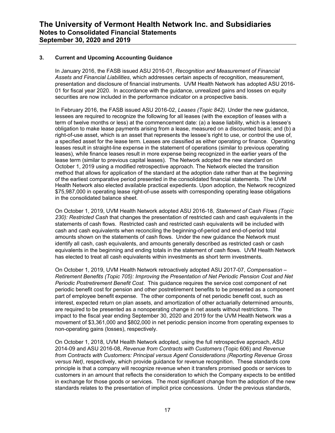#### **3. Current and Upcoming Accounting Guidance**

In January 2016, the FASB issued ASU 2016-01, *Recognition and Measurement of Financial Assets and Financial Liabilities*, which addresses certain aspects of recognition, measurement, presentation and disclosure of financial instruments. UVM Health Network has adopted ASU 2016- 01 for fiscal year 2020. In accordance with the guidance, unrealized gains and losses on equity securities are now included in the performance indicator on a prospective basis.

In February 2016, the FASB issued ASU 2016-02, *Leases (Topic 842)*. Under the new guidance, lessees are required to recognize the following for all leases (with the exception of leases with a term of twelve months or less) at the commencement date: (a) a lease liability, which is a lessee's obligation to make lease payments arising from a lease, measured on a discounted basis; and (b) a right-of-use asset, which is an asset that represents the lessee's right to use, or control the use of, a specified asset for the lease term. Leases are classified as either operating or finance. Operating leases result in straight-line expense in the statement of operations (similar to previous operating leases), while finance leases result in more expense being recognized in the earlier years of the lease term (similar to previous capital leases). The Network adopted the new standard on October 1, 2019 using a modified retrospective approach. The Network elected the transition method that allows for application of the standard at the adoption date rather than at the beginning of the earliest comparative period presented in the consolidated financial statements. The UVM Health Network also elected available practical expedients. Upon adoption, the Network recognized \$75,987,000 in operating lease right-of-use assets with corresponding operating lease obligations in the consolidated balance sheet.

On October 1, 2019, UVM Health Network adopted ASU 2016-18, *Statement of Cash Flows (Topic 230): Restricted Cash* that changes the presentation of restricted cash and cash equivalents in the statements of cash flows. Restricted cash and restricted cash equivalents will be included with cash and cash equivalents when reconciling the beginning-of-period and end-of-period total amounts shown on the statements of cash flows. Under the new guidance the Network must identify all cash, cash equivalents, and amounts generally described as restricted cash or cash equivalents in the beginning and ending totals in the statement of cash flows. UVM Health Network has elected to treat all cash equivalents within investments as short term investments.

On October 1, 2019, UVM Health Network retroactively adopted ASU 2017-07, *Compensation – Retirement Benefits (Topic 705): Improving the Presentation of Net Periodic Pension Cost and Net Periodic Postretirement Benefit Cost*. This guidance requires the service cost component of net periodic benefit cost for pension and other postretirement benefits to be presented as a component part of employee benefit expense. The other components of net periodic benefit cost, such as interest, expected return on plan assets, and amortization of other actuarially determined amounts, are required to be presented as a nonoperating change in net assets without restrictions. The impact to the fiscal year ending September 30, 2020 and 2019 for the UVM Health Network was a movement of \$3,361,000 and \$802,000 in net periodic pension income from operating expenses to non-operating gains (losses), respectively.

On October 1, 2018, UVM Health Network adopted, using the full retrospective approach, ASU 2014-09 and ASU 2016-08, *Revenue from Contracts with Customers* (Topic 606) and *Revenue from Contracts with Customers: Principal versus Agent Considerations (Reporting Revenue Gross versus Net)*, respectively, which provide guidance for revenue recognition. These standards core principle is that a company will recognize revenue when it transfers promised goods or services to customers in an amount that reflects the consideration to which the Company expects to be entitled in exchange for those goods or services. The most significant change from the adoption of the new standards relates to the presentation of implicit price concessions. Under the previous standards,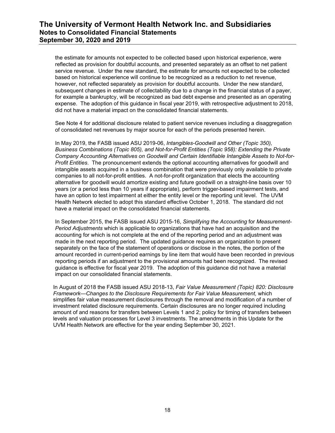the estimate for amounts not expected to be collected based upon historical experience, were reflected as provision for doubtful accounts, and presented separately as an offset to net patient service revenue. Under the new standard, the estimate for amounts not expected to be collected based on historical experience will continue to be recognized as a reduction to net revenue, however, not reflected separately as provision for doubtful accounts. Under the new standard, subsequent changes in estimate of collectability due to a change in the financial status of a payer, for example a bankruptcy, will be recognized as bad debt expense and presented as an operating expense. The adoption of this guidance in fiscal year 2019, with retrospective adjustment to 2018, did not have a material impact on the consolidated financial statements.

See Note 4 for additional disclosure related to patient service revenues including a disaggregation of consolidated net revenues by major source for each of the periods presented herein.

In May 2019, the FASB issued ASU 2019-06, *Intangibles-Goodwill and Other (Topic 350), Business Combinations (Topic 805), and Not-for-Profit Entities (Topic 958): Extending the Private Company Accounting Alternatives on Goodwill and Certain Identifiable Intangible Assets to Not-for-Profit Entities*. The pronouncement extends the optional accounting alternatives for goodwill and intangible assets acquired in a business combination that were previously only available to private companies to all not-for-profit entities. A not-for-profit organization that elects the accounting alternative for goodwill would amortize existing and future goodwill on a straight-line basis over 10 years (or a period less than 10 years if appropriate), perform trigger-based impairment tests, and have an option to test impairment at either the entity level or the reporting unit level. The UVM Health Network elected to adopt this standard effective October 1, 2018. The standard did not have a material impact on the consolidated financial statements.

In September 2015, the FASB issued ASU 2015-16, *Simplifying the Accounting* for *Measurement-Period Adjustments* which is applicable to organizations that have had an acquisition and the accounting for which is not complete at the end of the reporting period and an adjustment was made in the next reporting period. The updated guidance requires an organization to present separately on the face of the statement of operations or disclose in the notes, the portion of the amount recorded in current-period earnings by line item that would have been recorded in previous reporting periods if an adjustment to the provisional amounts had been recognized. The revised guidance is effective for fiscal year 2019. The adoption of this guidance did not have a material impact on our consolidated financial statements.

In August of 2018 the FASB issued ASU 2018-13, *Fair Value Measurement (Topic) 820: Disclosure Framework—Changes to the Disclosure Requirements for Fair Value Measurement,* which simplifies fair value measurement disclosures through the removal and modification of a number of investment related disclosure requirements. Certain disclosures are no longer required including amount of and reasons for transfers between Levels 1 and 2; policy for timing of transfers between levels and valuation processes for Level 3 investments. The amendments in this Update for the UVM Health Network are effective for the year ending September 30, 2021.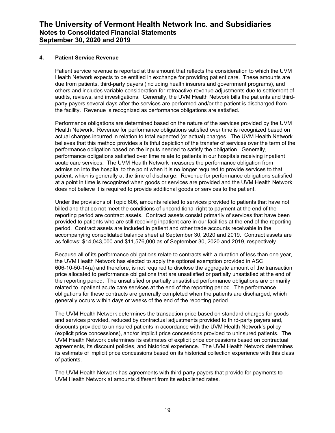#### **4. Patient Service Revenue**

Patient service revenue is reported at the amount that reflects the consideration to which the UVM Health Network expects to be entitled in exchange for providing patient care. These amounts are due from patients, third-party payers (including health insurers and government programs), and others and includes variable consideration for retroactive revenue adjustments due to settlement of audits, reviews, and investigations. Generally, the UVM Health Network bills the patients and thirdparty payers several days after the services are performed and/or the patient is discharged from the facility. Revenue is recognized as performance obligations are satisfied.

Performance obligations are determined based on the nature of the services provided by the UVM Health Network. Revenue for performance obligations satisfied over time is recognized based on actual charges incurred in relation to total expected (or actual) charges. The UVM Health Network believes that this method provides a faithful depiction of the transfer of services over the term of the performance obligation based on the inputs needed to satisfy the obligation. Generally, performance obligations satisfied over time relate to patients in our hospitals receiving inpatient acute care services. The UVM Health Network measures the performance obligation from admission into the hospital to the point when it is no longer required to provide services to that patient, which is generally at the time of discharge. Revenue for performance obligations satisfied at a point in time is recognized when goods or services are provided and the UVM Health Network does not believe it is required to provide additional goods or services to the patient.

Under the provisions of Topic 606, amounts related to services provided to patients that have not billed and that do not meet the conditions of unconditional right to payment at the end of the reporting period are contract assets. Contract assets consist primarily of services that have been provided to patients who are still receiving inpatient care in our facilities at the end of the reporting period. Contract assets are included in patient and other trade accounts receivable in the accompanying consolidated balance sheet at September 30, 2020 and 2019. Contract assets are as follows: \$14,043,000 and \$11,576,000 as of September 30, 2020 and 2019, respectively.

Because all of its performance obligations relate to contracts with a duration of less than one year, the UVM Health Network has elected to apply the optional exemption provided in ASC 606-10-50-14(a) and therefore, is not required to disclose the aggregate amount of the transaction price allocated to performance obligations that are unsatisfied or partially unsatisfied at the end of the reporting period. The unsatisfied or partially unsatisfied performance obligations are primarily related to inpatient acute care services at the end of the reporting period. The performance obligations for these contracts are generally completed when the patients are discharged, which generally occurs within days or weeks of the end of the reporting period.

The UVM Health Network determines the transaction price based on standard charges for goods and services provided, reduced by contractual adjustments provided to third-party payers and, discounts provided to uninsured patients in accordance with the UVM Health Network's policy (explicit price concessions), and/or implicit price concessions provided to uninsured patients. The UVM Health Network determines its estimates of explicit price concessions based on contractual agreements, its discount policies, and historical experience. The UVM Health Network determines its estimate of implicit price concessions based on its historical collection experience with this class of patients.

The UVM Health Network has agreements with third-party payers that provide for payments to UVM Health Network at amounts different from its established rates.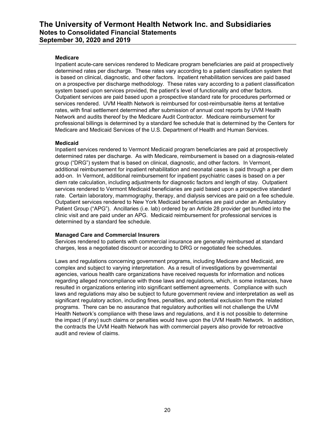#### **Medicare**

Inpatient acute-care services rendered to Medicare program beneficiaries are paid at prospectively determined rates per discharge. These rates vary according to a patient classification system that is based on clinical, diagnostic, and other factors. Inpatient rehabilitation services are paid based on a prospective per discharge methodology. These rates vary according to a patient classification system based upon services provided, the patient's level of functionality and other factors. Outpatient services are paid based upon a prospective standard rate for procedures performed or services rendered. UVM Health Network is reimbursed for cost-reimbursable items at tentative rates, with final settlement determined after submission of annual cost reports by UVM Health Network and audits thereof by the Medicare Audit Contractor. Medicare reimbursement for professional billings is determined by a standard fee schedule that is determined by the Centers for Medicare and Medicaid Services of the U.S. Department of Health and Human Services.

#### **Medicaid**

Inpatient services rendered to Vermont Medicaid program beneficiaries are paid at prospectively determined rates per discharge. As with Medicare, reimbursement is based on a diagnosis-related group ("DRG") system that is based on clinical, diagnostic, and other factors. In Vermont, additional reimbursement for inpatient rehabilitation and neonatal cases is paid through a per diem add-on. In Vermont, additional reimbursement for inpatient psychiatric cases is based on a per diem rate calculation, including adjustments for diagnostic factors and length of stay. Outpatient services rendered to Vermont Medicaid beneficiaries are paid based upon a prospective standard rate. Certain laboratory, mammography, therapy, and dialysis services are paid on a fee schedule. Outpatient services rendered to New York Medicaid beneficiaries are paid under an Ambulatory Patient Group ("APG"). Ancillaries (i.e. lab) ordered by an Article 28 provider get bundled into the clinic visit and are paid under an APG. Medicaid reimbursement for professional services is determined by a standard fee schedule.

#### **Managed Care and Commercial Insurers**

Services rendered to patients with commercial insurance are generally reimbursed at standard charges, less a negotiated discount or according to DRG or negotiated fee schedules.

Laws and regulations concerning government programs, including Medicare and Medicaid, are complex and subject to varying interpretation. As a result of investigations by governmental agencies, various health care organizations have received requests for information and notices regarding alleged noncompliance with those laws and regulations, which, in some instances, have resulted in organizations entering into significant settlement agreements. Compliance with such laws and regulations may also be subject to future government review and interpretation as well as significant regulatory action, including fines, penalties, and potential exclusion from the related programs. There can be no assurance that regulatory authorities will not challenge the UVM Health Network's compliance with these laws and regulations, and it is not possible to determine the impact (if any) such claims or penalties would have upon the UVM Health Network. In addition, the contracts the UVM Health Network has with commercial payers also provide for retroactive audit and review of claims.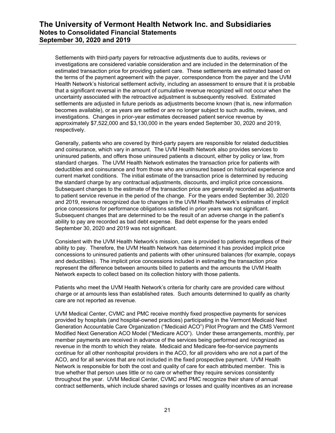Settlements with third-party payers for retroactive adjustments due to audits, reviews or investigations are considered variable consideration and are included in the determination of the estimated transaction price for providing patient care. These settlements are estimated based on the terms of the payment agreement with the payer, correspondence from the payer and the UVM Health Network's historical settlement activity, including an assessment to ensure that it is probable that a significant reversal in the amount of cumulative revenue recognized will not occur when the uncertainty associated with the retroactive adjustment is subsequently resolved. Estimated settlements are adjusted in future periods as adjustments become known (that is, new information becomes available), or as years are settled or are no longer subject to such audits, reviews, and investigations. Changes in prior-year estimates decreased patient service revenue by approximately \$7,522,000 and \$3,130,000 in the years ended September 30, 2020 and 2019, respectively.

Generally, patients who are covered by third-party payers are responsible for related deductibles and coinsurance, which vary in amount. The UVM Health Network also provides services to uninsured patients, and offers those uninsured patients a discount, either by policy or law, from standard charges. The UVM Health Network estimates the transaction price for patients with deductibles and coinsurance and from those who are uninsured based on historical experience and current market conditions. The initial estimate of the transaction price is determined by reducing the standard charge by any contractual adjustments, discounts, and implicit price concessions. Subsequent changes to the estimate of the transaction price are generally recorded as adjustments to patient service revenue in the period of the change. For the years ended September 30, 2020 and 2019, revenue recognized due to changes in the UVM Health Network's estimates of implicit price concessions for performance obligations satisfied in prior years was not significant. Subsequent changes that are determined to be the result of an adverse change in the patient's ability to pay are recorded as bad debt expense. Bad debt expense for the years ended September 30, 2020 and 2019 was not significant.

Consistent with the UVM Health Network's mission, care is provided to patients regardless of their ability to pay. Therefore, the UVM Health Network has determined it has provided implicit price concessions to uninsured patients and patients with other uninsured balances (for example, copays and deductibles). The implicit price concessions included in estimating the transaction price represent the difference between amounts billed to patients and the amounts the UVM Health Network expects to collect based on its collection history with those patients.

Patients who meet the UVM Health Network's criteria for charity care are provided care without charge or at amounts less than established rates. Such amounts determined to qualify as charity care are not reported as revenue.

UVM Medical Center, CVMC and PMC receive monthly fixed prospective payments for services provided by hospitals (and hospital-owned practices) participating in the Vermont Medicaid Next Generation Accountable Care Organization ("Medicaid ACO") Pilot Program and the CMS Vermont Modified Next Generation ACO Model ("Medicare ACO"). Under these arrangements, monthly, per member payments are received in advance of the services being performed and recognized as revenue in the month to which they relate. Medicaid and Medicare fee-for-service payments continue for all other nonhospital providers in the ACO, for all providers who are not a part of the ACO, and for all services that are not included in the fixed prospective payment. UVM Health Network is responsible for both the cost and quality of care for each attributed member. This is true whether that person uses little or no care or whether they require services consistently throughout the year. UVM Medical Center, CVMC and PMC recognize their share of annual contract settlements, which include shared savings or losses and quality incentives as an increase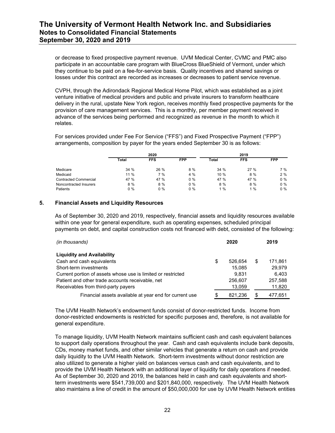or decrease to fixed prospective payment revenue. UVM Medical Center, CVMC and PMC also participate in an accountable care program with BlueCross BlueShield of Vermont, under which they continue to be paid on a fee-for-service basis. Quality incentives and shared savings or losses under this contract are recorded as increases or decreases to patient service revenue.

CVPH, through the Adirondack Regional Medical Home Pilot, which was established as a joint venture initiative of medical providers and public and private insurers to transform healthcare delivery in the rural, upstate New York region, receives monthly fixed prospective payments for the provision of care management services. This is a monthly, per member payment received in advance of the services being performed and recognized as revenue in the month to which it relates.

For services provided under Fee For Service ("FFS") and Fixed Prospective Payment ("FPP") arrangements, composition by payer for the years ended September 30 is as follows:

|                        |       | 2020       |            |              |            |            |
|------------------------|-------|------------|------------|--------------|------------|------------|
|                        | Total | <b>FFS</b> | <b>FPP</b> | <b>Total</b> | <b>FFS</b> | <b>FPP</b> |
| Medicare               | 34%   | $26\%$     | 8 %        | 34%          | 27%        | 7 %        |
| Medicaid               | 11 %  | 7 %        | 4 %        | $10\%$       | 8 %        | 2%         |
| Contracted Commercial  | 47 %  | 47 %       | $0\%$      | 47 %         | 47 %       | $0\%$      |
| Noncontracted Insurers | 8 %   | 8 %        | $0\%$      | $8\%$        | $8\%$      | $0\%$      |
| Patients               | $0\%$ | $0\%$      | $0\%$      | $\%$         | 1%         | $0\%$      |

#### **5. Financial Assets and Liquidity Resources**

As of September 30, 2020 and 2019, respectively, financial assets and liquidity resources available within one year for general expenditure, such as operating expenses, scheduled principal payments on debt, and capital construction costs not financed with debt, consisted of the following:

| (in thousands)                                               |    | 2020    |    | 2019    |
|--------------------------------------------------------------|----|---------|----|---------|
| <b>Liquidity and Availability</b>                            |    |         |    |         |
| Cash and cash equivalents                                    | \$ | 526.654 | \$ | 171.861 |
| Short-term investments                                       |    | 15.085  |    | 29.979  |
| Current portion of assets whose use is limited or restricted |    | 9.831   |    | 6.403   |
| Patient and other trade accounts receivable, net             |    | 256,607 |    | 257,588 |
| Receivables from third-party payers                          |    | 13,059  |    | 11,820  |
| Financial assets available at year end for current use       | S  | 821.236 | S  | 477.651 |

The UVM Health Network's endowment funds consist of donor-restricted funds. Income from donor-restricted endowments is restricted for specific purposes and, therefore, is not available for general expenditure.

To manage liquidity, UVM Health Network maintains sufficient cash and cash equivalent balances to support daily operations throughout the year. Cash and cash equivalents include bank deposits, CDs, money market funds, and other similar vehicles that generate a return on cash and provide daily liquidity to the UVM Health Network. Short-term investments without donor restriction are also utilized to generate a higher yield on balances versus cash and cash equivalents, and to provide the UVM Health Network with an additional layer of liquidity for daily operations if needed. As of September 30, 2020 and 2019, the balances held in cash and cash equivalents and shortterm investments were \$541,739,000 and \$201,840,000, respectively. The UVM Health Network also maintains a line of credit in the amount of \$50,000,000 for use by UVM Health Network entities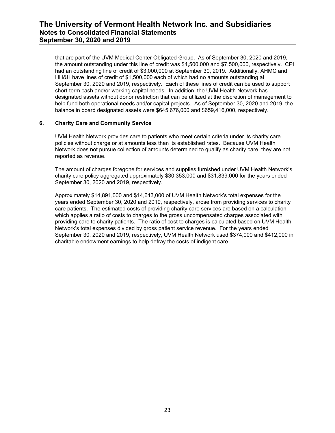that are part of the UVM Medical Center Obligated Group. As of September 30, 2020 and 2019, the amount outstanding under this line of credit was \$4,500,000 and \$7,500,000, respectively. CPI had an outstanding line of credit of \$3,000,000 at September 30, 2019. Additionally, AHMC and HH&H have lines of credit of \$1,500,000 each of which had no amounts outstanding at September 30, 2020 and 2019, respectively. Each of these lines of credit can be used to support short-term cash and/or working capital needs. In addition, the UVM Health Network has designated assets without donor restriction that can be utilized at the discretion of management to help fund both operational needs and/or capital projects. As of September 30, 2020 and 2019, the balance in board designated assets were \$645,676,000 and \$659,416,000, respectively.

#### **6. Charity Care and Community Service**

UVM Health Network provides care to patients who meet certain criteria under its charity care policies without charge or at amounts less than its established rates. Because UVM Health Network does not pursue collection of amounts determined to qualify as charity care, they are not reported as revenue.

The amount of charges foregone for services and supplies furnished under UVM Health Network's charity care policy aggregated approximately \$30,353,000 and \$31,839,000 for the years ended September 30, 2020 and 2019, respectively.

Approximately \$14,891,000 and \$14,643,000 of UVM Health Network's total expenses for the years ended September 30, 2020 and 2019, respectively, arose from providing services to charity care patients. The estimated costs of providing charity care services are based on a calculation which applies a ratio of costs to charges to the gross uncompensated charges associated with providing care to charity patients. The ratio of cost to charges is calculated based on UVM Health Network's total expenses divided by gross patient service revenue. For the years ended September 30, 2020 and 2019, respectively, UVM Health Network used \$374,000 and \$412,000 in charitable endowment earnings to help defray the costs of indigent care.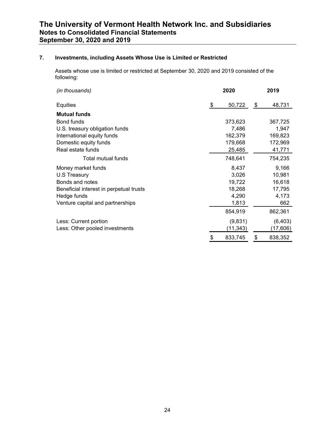### **7. Investments, including Assets Whose Use is Limited or Restricted**

Assets whose use is limited or restricted at September 30, 2020 and 2019 consisted of the following:

| (in thousands)                          | 2020 |          |    | 2019     |
|-----------------------------------------|------|----------|----|----------|
| Equities                                | \$   | 50,722   | \$ | 48,731   |
| <b>Mutual funds</b>                     |      |          |    |          |
| Bond funds                              |      | 373,623  |    | 367,725  |
| U.S. treasury obligation funds          |      | 7,486    |    | 1,947    |
| International equity funds              |      | 162,379  |    | 169,823  |
| Domestic equity funds                   |      | 179,668  |    | 172,969  |
| Real estate funds                       |      | 25,485   |    | 41,771   |
| Total mutual funds                      |      | 748,641  |    | 754,235  |
| Money market funds                      |      | 8,437    |    | 9,166    |
| U.S Treasury                            |      | 3,026    |    | 10,981   |
| Bonds and notes                         |      | 19,722   |    | 16,618   |
| Beneficial interest in perpetual trusts |      | 18,268   |    | 17,795   |
| Hedge funds                             |      | 4,290    |    | 4,173    |
| Venture capital and partnerships        |      | 1,813    |    | 662      |
|                                         |      | 854,919  |    | 862,361  |
| Less: Current portion                   |      | (9,831)  |    | (6, 403) |
| Less: Other pooled investments          |      | (11,343) |    | (17,606) |
|                                         | \$   | 833,745  | \$ | 838,352  |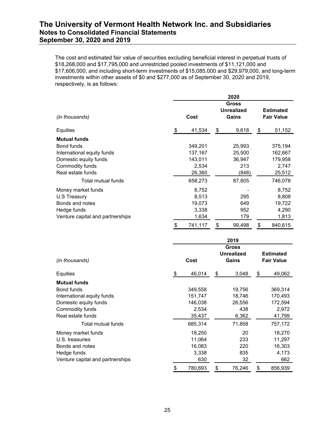The cost and estimated fair value of securities excluding beneficial interest in perpetual trusts of \$18,268,000 and \$17,795,000 and unrestricted pooled investments of \$11,121,000 and \$17,606,000, and including short-term investments of \$15,085,000 and \$29,979,000, and long-term investments within other assets of \$0 and \$277,000 as of September 30, 2020 and 2019, respectively, is as follows:

|                                  | 2020                                               |    |        |                                       |         |  |
|----------------------------------|----------------------------------------------------|----|--------|---------------------------------------|---------|--|
| (in thousands)                   | <b>Gross</b><br><b>Unrealized</b><br>Cost<br>Gains |    |        | <b>Estimated</b><br><b>Fair Value</b> |         |  |
| Equities                         | \$<br>41,534                                       | \$ | 9,618  | \$                                    | 51,152  |  |
| <b>Mutual funds</b>              |                                                    |    |        |                                       |         |  |
| Bond funds                       | 349,201                                            |    | 25,993 |                                       | 375,194 |  |
| International equity funds       | 137,167                                            |    | 25,500 |                                       | 162,667 |  |
| Domestic equity funds            | 143,011                                            |    | 36,947 |                                       | 179,958 |  |
| Commodity funds                  | 2,534                                              |    | 213    |                                       | 2,747   |  |
| Real estate funds                | 26,360                                             |    | (848)  |                                       | 25,512  |  |
| Total mutual funds               | 658,273                                            |    | 87,805 |                                       | 746,078 |  |
| Money market funds               | 8,752                                              |    |        |                                       | 8,752   |  |
| U.S Treasury                     | 8,513                                              |    | 295    |                                       | 8,808   |  |
| Bonds and notes                  | 19,073                                             |    | 649    |                                       | 19,722  |  |
| Hedge funds                      | 3,338                                              |    | 952    |                                       | 4,290   |  |
| Venture capital and partnerships | 1,634                                              |    | 179    |                                       | 1,813   |  |
|                                  | \$<br>741,117                                      | \$ | 99,498 | \$                                    | 840,615 |  |

|                                  | 2019          |    |                                     |                                       |         |  |
|----------------------------------|---------------|----|-------------------------------------|---------------------------------------|---------|--|
| (in thousands)                   | Cost          |    | Gross<br><b>Unrealized</b><br>Gains | <b>Estimated</b><br><b>Fair Value</b> |         |  |
| Equities                         | \$<br>46,014  | \$ | 3,048                               | \$                                    | 49,062  |  |
| <b>Mutual funds</b>              |               |    |                                     |                                       |         |  |
| Bond funds                       | 349,558       |    | 19,756                              |                                       | 369,314 |  |
| International equity funds       | 151,747       |    | 18,746                              |                                       | 170,493 |  |
| Domestic equity funds            | 146,038       |    | 26,556                              |                                       | 172,594 |  |
| Commodity funds                  | 2,534         |    | 438                                 |                                       | 2,972   |  |
| Real estate funds                | 35,437        |    | 6,362                               |                                       | 41,799  |  |
| Total mutual funds               | 685,314       |    | 71,858                              |                                       | 757,172 |  |
| Money market funds               | 18,250        |    | 20                                  |                                       | 18,270  |  |
| U.S. treasuries                  | 11,064        |    | 233                                 |                                       | 11,297  |  |
| Bonds and notes                  | 16,083        |    | 220                                 |                                       | 16,303  |  |
| Hedge funds                      | 3,338         |    | 835                                 |                                       | 4,173   |  |
| Venture capital and partnerships | 630           |    | 32                                  |                                       | 662     |  |
|                                  | \$<br>780,693 | \$ | 76,246                              | \$                                    | 856,939 |  |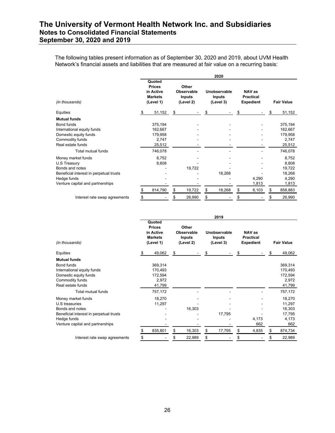The following tables present information as of September 30, 2020 and 2019, about UVM Health Network's financial assets and liabilities that are measured at fair value on a recurring basis:

|                                         |    |                                                                     |                                                          |    | 2020                                       |    |                                                |    |                   |
|-----------------------------------------|----|---------------------------------------------------------------------|----------------------------------------------------------|----|--------------------------------------------|----|------------------------------------------------|----|-------------------|
| (in thousands)                          |    | Quoted<br><b>Prices</b><br>in Active<br><b>Markets</b><br>(Level 1) | Other<br><b>Observable</b><br><b>Inputs</b><br>(Level 2) |    | Unobservable<br><b>Inputs</b><br>(Level 3) |    | NAV as<br><b>Practical</b><br><b>Expedient</b> |    | <b>Fair Value</b> |
| Equities                                | \$ | 51,152                                                              | \$                                                       | S  |                                            | S  |                                                | S  | 51,152            |
| <b>Mutual funds</b>                     |    |                                                                     |                                                          |    |                                            |    |                                                |    |                   |
| Bond funds                              |    | 375,194                                                             |                                                          |    |                                            |    |                                                |    | 375,194           |
| International equity funds              |    | 162,667                                                             |                                                          |    |                                            |    |                                                |    | 162,667           |
| Domestic equity funds                   |    | 179,958                                                             |                                                          |    |                                            |    |                                                |    | 179,958           |
| Commodity funds                         |    | 2,747                                                               |                                                          |    |                                            |    |                                                |    | 2,747             |
| Real estate funds                       |    | 25,512                                                              |                                                          |    |                                            |    |                                                |    | 25,512            |
| Total mutual funds                      |    | 746,078                                                             |                                                          |    |                                            |    |                                                |    | 746,078           |
| Money market funds                      |    | 8,752                                                               |                                                          |    |                                            |    |                                                |    | 8,752             |
| U.S Treasury                            |    | 8,808                                                               |                                                          |    |                                            |    |                                                |    | 8,808             |
| Bonds and notes                         |    |                                                                     | 19,722                                                   |    |                                            |    |                                                |    | 19,722            |
| Beneficial interest in perpetual trusts |    |                                                                     |                                                          |    | 18,268                                     |    |                                                |    | 18,268            |
| Hedge funds                             |    |                                                                     |                                                          |    |                                            |    | 4,290                                          |    | 4,290             |
| Venture capital and partnerships        |    |                                                                     |                                                          |    |                                            |    | 1,813                                          |    | 1,813             |
|                                         |    | 814,790                                                             | \$<br>19,722                                             | \$ | 18,268                                     | \$ | 6,103                                          | \$ | 858,883           |
| Interest rate swap agreements           |    |                                                                     | 26,990                                                   | \$ |                                            |    |                                                |    | 26,990            |

|                                         |   |                                                                     |                                                   |    | 2019                                       |    |                                                |    |                   |
|-----------------------------------------|---|---------------------------------------------------------------------|---------------------------------------------------|----|--------------------------------------------|----|------------------------------------------------|----|-------------------|
| (in thousands)                          |   | Quoted<br><b>Prices</b><br>in Active<br><b>Markets</b><br>(Level 1) | Other<br>Observable<br><b>Inputs</b><br>(Level 2) |    | Unobservable<br><b>Inputs</b><br>(Level 3) |    | NAV as<br><b>Practical</b><br><b>Expedient</b> |    | <b>Fair Value</b> |
| Equities                                | S | 49,062                                                              | \$                                                | S  |                                            | S  |                                                | S  | 49,062            |
| Mutual funds                            |   |                                                                     |                                                   |    |                                            |    |                                                |    |                   |
| Bond funds                              |   | 369,314                                                             |                                                   |    |                                            |    |                                                |    | 369,314           |
| International equity funds              |   | 170,493                                                             |                                                   |    |                                            |    |                                                |    | 170,493           |
| Domestic equity funds                   |   | 172,594                                                             |                                                   |    |                                            |    |                                                |    | 172,594           |
| Commodity funds                         |   | 2,972                                                               |                                                   |    |                                            |    |                                                |    | 2,972             |
| Real estate funds                       |   | 41,799                                                              |                                                   |    |                                            |    |                                                |    | 41,799            |
| Total mutual funds                      |   | 757,172                                                             |                                                   |    |                                            |    |                                                |    | 757,172           |
| Money market funds                      |   | 18,270                                                              |                                                   |    |                                            |    |                                                |    | 18,270            |
| U.S treasuries                          |   | 11,297                                                              |                                                   |    |                                            |    |                                                |    | 11,297            |
| Bonds and notes                         |   |                                                                     | 16,303                                            |    |                                            |    |                                                |    | 16,303            |
| Beneficial interest in perpetual trusts |   |                                                                     |                                                   |    | 17,795                                     |    |                                                |    | 17,795            |
| Hedge funds                             |   |                                                                     |                                                   |    |                                            |    | 4,173                                          |    | 4,173             |
| Venture capital and partnerships        |   |                                                                     |                                                   |    |                                            |    | 662                                            |    | 662               |
|                                         |   | 835,801                                                             | \$<br>16,303                                      | \$ | 17,795                                     | \$ | 4,835                                          | \$ | 874,734           |
| Interest rate swap agreements           |   |                                                                     | \$<br>22,989                                      | \$ |                                            | \$ |                                                | S  | 22,989            |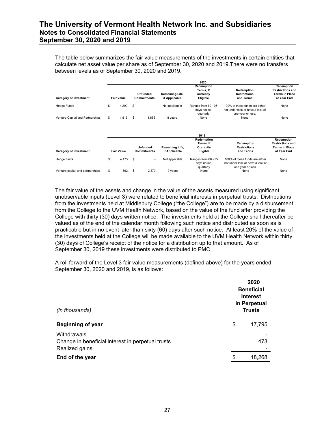The table below summarizes the fair value measurements of the investments in certain entities that calculate net asset value per share as of September 30, 2020 and 2019.There were no transfers between levels as of September 30, 2020 and 2019.

|                                  |                   |                                |                 | 2020                                             |                                                                                         |                         |
|----------------------------------|-------------------|--------------------------------|-----------------|--------------------------------------------------|-----------------------------------------------------------------------------------------|-------------------------|
|                                  |                   |                                |                 | Redemption                                       |                                                                                         | Redemption              |
|                                  |                   |                                |                 | Terms, If                                        | Redemption                                                                              | <b>Restrictions and</b> |
|                                  |                   | <b>Unfunded</b>                | Remaining Life, | Currently                                        | <b>Restrictions</b>                                                                     | <b>Terms in Place</b>   |
| <b>Category of Investment</b>    | <b>Fair Value</b> | <b>Commitments</b>             | if Applicable   | Eligible                                         | and Terms                                                                               | at Year End             |
| <b>Hedge Funds</b>               | \$<br>4,290       | \$<br>$\sim$                   | Not applicable  | Ranges from 60 - 95<br>days notice,<br>quarterly | 100% of these funds are either<br>not under lock or have a lock of<br>one year or less. | None                    |
| Venture Capital and Partnerships | \$<br>1,813       | \$<br>1,855                    | 8 years         | None                                             | None                                                                                    | None                    |
|                                  |                   |                                |                 |                                                  |                                                                                         |                         |
|                                  |                   |                                |                 | 2019                                             |                                                                                         |                         |
|                                  |                   |                                |                 | Redemption                                       |                                                                                         | Redemption              |
|                                  |                   |                                |                 | Terms, If                                        | Redemption                                                                              | <b>Restrictions and</b> |
|                                  |                   | <b>Unfunded</b>                | Remaining Life, | Currently                                        | <b>Restrictions</b>                                                                     | <b>Terms in Place</b>   |
| <b>Category of Investment</b>    | <b>Fair Value</b> | <b>Commitments</b>             | if Applicable   | Eligible                                         | and Terms                                                                               | at Year End             |
| Hedge funds                      | \$<br>4,173       | \$<br>$\overline{\phantom{a}}$ | Not applicable  | Ranges from 60 - 95<br>days notice,<br>quarterly | 100% of these funds are either<br>not under lock or have a lock of<br>one year or less. | None                    |
| Venture capital and partnerships | \$<br>662         | \$<br>2,870                    | 9 years         | None                                             | None                                                                                    | None                    |

The fair value of the assets and change in the value of the assets measured using significant unobservable inputs (Level 3) were related to beneficial interests in perpetual trusts. Distributions from the investments held at Middlebury College ("the College") are to be made by a disbursement from the College to the UVM Health Network, based on the value of the fund after providing the College with thirty (30) days written notice. The investments held at the College shall thereafter be valued as of the end of the calendar month following such notice and distributed as soon as is practicable but in no event later than sixty (60) days after such notice. At least 20% of the value of the investments held at the College will be made available to the UVM Health Network within thirty (30) days of College's receipt of the notice for a distribution up to that amount. As of September 30, 2019 these investments were distributed to PMC.

A roll forward of the Level 3 fair value measurements (defined above) for the years ended September 30, 2020 and 2019, is as follows:

|                                                   | 2020 |                                                      |  |  |  |
|---------------------------------------------------|------|------------------------------------------------------|--|--|--|
|                                                   |      | <b>Beneficial</b><br><b>Interest</b><br>in Perpetual |  |  |  |
| (in thousands)                                    |      | <b>Trusts</b>                                        |  |  |  |
| <b>Beginning of year</b>                          | \$   | 17,795                                               |  |  |  |
| Withdrawals                                       |      |                                                      |  |  |  |
| Change in beneficial interest in perpetual trusts |      | 473                                                  |  |  |  |
| Realized gains                                    |      |                                                      |  |  |  |
| End of the year                                   | \$   | 18,268                                               |  |  |  |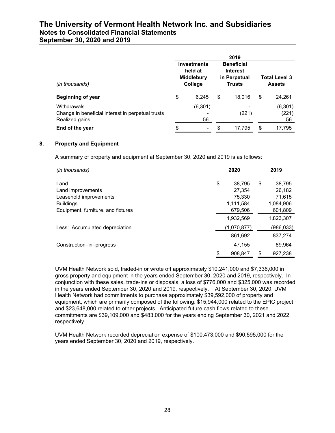| September 30, 2020 and 2019 |  |  |  |  |  |
|-----------------------------|--|--|--|--|--|
|-----------------------------|--|--|--|--|--|

|                                                                                    |                                                               | 2019                                                                  |                                       |                         |
|------------------------------------------------------------------------------------|---------------------------------------------------------------|-----------------------------------------------------------------------|---------------------------------------|-------------------------|
| (in thousands)                                                                     | <b>Investments</b><br>held at<br><b>Middlebury</b><br>College | <b>Beneficial</b><br><b>Interest</b><br>in Perpetual<br><b>Trusts</b> | <b>Total Level 3</b><br><b>Assets</b> |                         |
| <b>Beginning of year</b>                                                           | \$<br>6.245                                                   | \$<br>18.016                                                          | \$                                    | 24,261                  |
| Withdrawals<br>Change in beneficial interest in perpetual trusts<br>Realized gains | (6,301)<br>56                                                 | (221)                                                                 |                                       | (6, 301)<br>(221)<br>56 |
| End of the year                                                                    | \$<br>-                                                       | \$<br>17.795                                                          | \$                                    | 17.795                  |

#### **8. Property and Equipment**

A summary of property and equipment at September 30, 2020 and 2019 is as follows:

| (in thousands)                     | 2020          | 2019          |
|------------------------------------|---------------|---------------|
| Land                               | \$<br>38.795  | \$<br>38.795  |
| Land improvements                  | 27,354        | 26,182        |
| Leasehold improvements             | 75,330        | 71.615        |
| <b>Buildings</b>                   | 1.111.584     | 1,084,906     |
| Equipment, furniture, and fixtures | 679,506       | 601,809       |
|                                    | 1,932,569     | 1,823,307     |
| Less: Accumulated depreciation     | (1,070,877)   | (986,033)     |
|                                    | 861,692       | 837,274       |
| Construction-in-progress           | 47,155        | 89,964        |
|                                    | \$<br>908,847 | \$<br>927,238 |

UVM Health Network sold, traded-in or wrote off approximately \$10,241,000 and \$7,336,000 in gross property and equipment in the years ended September 30, 2020 and 2019, respectively. In conjunction with these sales, trade-ins or disposals, a loss of \$776,000 and \$325,000 was recorded in the years ended September 30, 2020 and 2019, respectively. At September 30, 2020, UVM Health Network had commitments to purchase approximately \$39,592,000 of property and equipment, which are primarily composed of the following: \$15,944,000 related to the EPIC project and \$23,648,000 related to other projects. Anticipated future cash flows related to these commitments are \$39,109,000 and \$483,000 for the years ending September 30, 2021 and 2022, respectively.

UVM Health Network recorded depreciation expense of \$100,473,000 and \$90,595,000 for the years ended September 30, 2020 and 2019, respectively.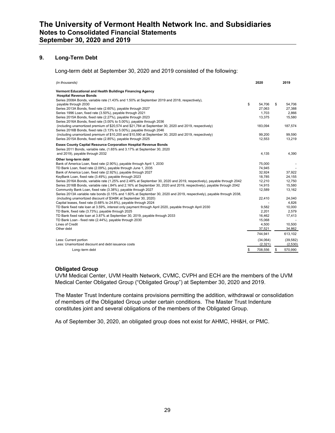#### **9. Long-Term Debt**

#### Long-term debt at September 30, 2020 and 2019 consisted of the following:

| (in thousands)                                                                                                         | 2020          | 2019          |
|------------------------------------------------------------------------------------------------------------------------|---------------|---------------|
| Vermont Educational and Health Buildings Financing Agency<br><b>Hospital Revenue Bonds</b>                             |               |               |
| Series 2008A Bonds, variable rate (1.43% and 1.50% at September 2019 and 2018, respectively),                          |               |               |
| payable through 2030                                                                                                   | \$<br>54.706  | \$<br>54.706  |
| Series 2013A Bonds, fixed rate (2.60%), payable through 2027                                                           | 27,063        | 27,388        |
| Series 1996 Loan, fixed rate (3.50%), payable through 2021                                                             | 1.703         | 2.866         |
| Series 2015A Bonds, fixed rate (2.27%), payable through 2023                                                           | 13,375        | 15,580        |
| Series 2016A Bonds, fixed rate (3.00% to 5.00%), payable through 2036                                                  |               |               |
| (including unamortized premium of \$20,574 and \$21,784 at September 30, 2020 and 2019, respectively)                  | 183,094       | 187,574       |
| Series 2016B Bonds, fixed rate (3.13% to 5.00%), payable through 2046                                                  |               |               |
| (including unamortized premium of \$10,200 and \$10,590 at September 30, 2020 and 2019, respectively)                  | 99,200        | 99,590        |
| Series 2015A Bonds, fixed rate (2.85%), payable through 2025                                                           | 12,553        | 13,219        |
| <b>Essex County Capital Resource Corporation Hospital Revenue Bonds</b>                                                |               |               |
| Series 2011 Bonds, variable rate, (1.65% and 3.17% at September 30, 2020                                               |               |               |
| and 2019), payable through 2032                                                                                        | 4,135         | 4,390         |
| Other long-term debt                                                                                                   |               |               |
| Bank of America Loan, fixed rate (2.90%), payable through April 1, 2030                                                | 75,000        |               |
| TD Bank Loan, fixed rate (2.09%), payable through June 1, 2035                                                         | 74,945        |               |
| Bank of America Loan, fixed rate (2.92%), payable through 2027                                                         | 32,924        | 37,922        |
| KeyBank Loan, fixed rate (3.49%), payable through 2023                                                                 | 18.785        | 24,155        |
| Series 2016A Bonds, variable rate (1.25% and 2.48% at September 30, 2020 and 2019, respectively), payable through 2042 | 12.210        | 12.750        |
| Series 2016B Bonds, variable rate (.84% and 2.16% at September 30, 2020 and 2019, respectively), payable through 2042  | 14,915        | 15,580        |
| Community Bank Loan, fixed rate (3.38%), payable through 2027                                                          | 12.589        | 13,162        |
| Series 2013A variable rate bonds (0.15% and 1.60% at September 30, 2020 and 2019, respectively), payable through 2038, |               |               |
| (including unamortized discount of \$348K at September 30, 2020)                                                       | 22,410        | 24.040        |
| Capital leases, fixed rate (0.68% to 24.8%), payable through 2024                                                      |               | 4,826         |
| TD Bank fixed rate loan at 3.59%, interest only payment through April 2020, payable through April 2030                 | 9.582         | 10,000        |
| TD Bank, fixed rate (3.73%), payable through 2025                                                                      | 2,201         | 2,579         |
| TD Bank fixed rate loan at 3.87% at September 30, 2019, payable through 2033                                           | 16,462        | 17,413        |
| TD Bank Loan - fixed rate (2.44%), payable through 2030                                                                | 15,068        |               |
| Lines of Credit                                                                                                        | 4,500         | 10,500        |
| Other debt                                                                                                             | 37,521        | 34,862        |
|                                                                                                                        | 744,941       | 613,102       |
| Less: Current portion                                                                                                  | (34,064)      | (39, 582)     |
| Less: Unamortized discount and debt issuance costs                                                                     | (2,321)       | (2,530)       |
| Long-term debt                                                                                                         | \$<br>708,556 | \$<br>570,990 |

#### **Obligated Group**

UVM Medical Center, UVM Health Network, CVMC, CVPH and ECH are the members of the UVM Medical Center Obligated Group ("Obligated Group") at September 30, 2020 and 2019.

The Master Trust Indenture contains provisions permitting the addition, withdrawal or consolidation of members of the Obligated Group under certain conditions. The Master Trust Indenture constitutes joint and several obligations of the members of the Obligated Group.

As of September 30, 2020, an obligated group does not exist for AHMC, HH&H, or PMC.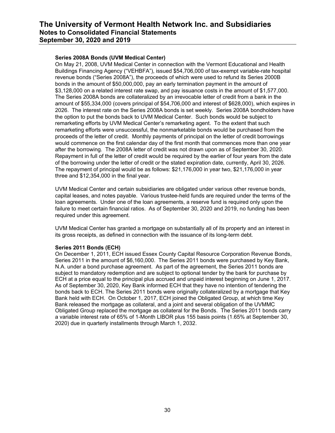#### **Series 2008A Bonds (UVM Medical Center)**

On May 21, 2008, UVM Medical Center in connection with the Vermont Educational and Health Buildings Financing Agency ("VEHBFA"), issued \$54,706,000 of tax-exempt variable-rate hospital revenue bonds ("Series 2008A"), the proceeds of which were used to refund its Series 2000B bonds in the amount of \$50,000,000, pay an early termination payment in the amount of \$3,128,000 on a related interest rate swap, and pay issuance costs in the amount of \$1,577,000. The Series 2008A bonds are collateralized by an irrevocable letter of credit from a bank in the amount of \$55,334,000 (covers principal of \$54,706,000 and interest of \$628,000), which expires in 2026. The interest rate on the Series 2008A bonds is set weekly. Series 2008A bondholders have the option to put the bonds back to UVM Medical Center. Such bonds would be subject to remarketing efforts by UVM Medical Center's remarketing agent. To the extent that such remarketing efforts were unsuccessful, the nonmarketable bonds would be purchased from the proceeds of the letter of credit. Monthly payments of principal on the letter of credit borrowings would commence on the first calendar day of the first month that commences more than one year after the borrowing. The 2008A letter of credit was not drawn upon as of September 30, 2020. Repayment in full of the letter of credit would be required by the earlier of four years from the date of the borrowing under the letter of credit or the stated expiration date, currently, April 30, 2026. The repayment of principal would be as follows: \$21,176,000 in year two, \$21,176,000 in year three and \$12,354,000 in the final year.

UVM Medical Center and certain subsidiaries are obligated under various other revenue bonds, capital leases, and notes payable. Various trustee-held funds are required under the terms of the loan agreements. Under one of the loan agreements, a reserve fund is required only upon the failure to meet certain financial ratios. As of September 30, 2020 and 2019, no funding has been required under this agreement.

UVM Medical Center has granted a mortgage on substantially all of its property and an interest in its gross receipts, as defined in connection with the issuance of its long-term debt.

#### **Series 2011 Bonds (ECH)**

On December 1, 2011, ECH issued Essex County Capital Resource Corporation Revenue Bonds, Series 2011 in the amount of \$6,160,000. The Series 2011 bonds were purchased by Key Bank, N.A. under a bond purchase agreement. As part of the agreement, the Series 2011 bonds are subject to mandatory redemption and are subject to optional tender by the bank for purchase by ECH at a price equal to the principal plus accrued and unpaid interest beginning on June 1, 2017. As of September 30, 2020, Key Bank informed ECH that they have no intention of tendering the bonds back to ECH. The Series 2011 bonds were originally collateralized by a mortgage that Key Bank held with ECH. On October 1, 2017, ECH joined the Obligated Group, at which time Key Bank released the mortgage as collateral, and a joint and several obligation of the UVMMC Obligated Group replaced the mortgage as collateral for the Bonds. The Series 2011 bonds carry a variable interest rate of 65% of 1-Month LIBOR plus 155 basis points (1.65% at September 30, 2020) due in quarterly installments through March 1, 2032.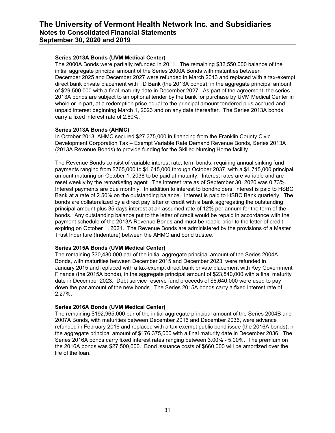#### **Series 2013A Bonds (UVM Medical Center)**

The 2000A Bonds were partially refunded in 2011. The remaining \$32,550,000 balance of the initial aggregate principal amount of the Series 2000A Bonds with maturities between December 2025 and December 2027 were refunded in March 2013 and replaced with a tax-exempt direct bank private placement with TD Bank (the 2013A bonds), in the aggregate principal amount of \$29,500,000 with a final maturity date in December 2027. As part of the agreement, the series 2013A bonds are subject to an optional tender by the bank for purchase by UVM Medical Center in whole or in part, at a redemption price equal to the principal amount tendered plus accrued and unpaid interest beginning March 1, 2023 and on any date thereafter. The Series 2013A bonds carry a fixed interest rate of 2.60%.

#### **Series 2013A Bonds (AHMC)**

In October 2013, AHMC secured \$27,375,000 in financing from the Franklin County Civic Development Corporation Tax – Exempt Variable Rate Demand Revenue Bonds, Series 2013A (2013A Revenue Bonds) to provide funding for the Skilled Nursing Home facility.

The Revenue Bonds consist of variable interest rate, term bonds, requiring annual sinking fund payments ranging from \$765,000 to \$1,645,000 through October 2037, with a \$1,715,000 principal amount maturing on October 1, 2038 to be paid at maturity. Interest rates are variable and are reset weekly by the remarketing agent. The interest rate as of September 30, 2020 was 0.73%. Interest payments are due monthly. In addition to interest to bondholders, interest is paid to HSBC Bank at a rate of 2.50% on the outstanding balance. Interest is paid to HSBC Bank quarterly. The bonds are collateralized by a direct pay letter of credit with a bank aggregating the outstanding principal amount plus 35 days interest at an assumed rate of 12% per annum for the term of the bonds. Any outstanding balance put to the letter of credit would be repaid in accordance with the payment schedule of the 2013A Revenue Bonds and must be repaid prior to the letter of credit expiring on October 1, 2021. The Revenue Bonds are administered by the provisions of a Master Trust Indenture (Indenture) between the AHMC and bond trustee.

#### **Series 2015A Bonds (UVM Medical Center)**

The remaining \$30,480,000 par of the initial aggregate principal amount of the Series 2004A Bonds, with maturities between December 2015 and December 2023, were refunded in January 2015 and replaced with a tax-exempt direct bank private placement with Key Government Finance (the 2015A bonds), in the aggregate principal amount of \$23,840,000 with a final maturity date in December 2023. Debt service reserve fund proceeds of \$6,640,000 were used to pay down the par amount of the new bonds. The Series 2015A bonds carry a fixed interest rate of 2.27%.

#### **Series 2016A Bonds (UVM Medical Center)**

The remaining \$192,965,000 par of the initial aggregate principal amount of the Series 2004B and 2007A Bonds, with maturities between December 2016 and December 2036, were advance refunded in February 2016 and replaced with a tax-exempt public bond issue (the 2016A bonds), in the aggregate principal amount of \$176,375,000 with a final maturity date in December 2036. The Series 2016A bonds carry fixed interest rates ranging between 3.00% - 5.00%. The premium on the 2016A bonds was \$27,500,000. Bond issuance costs of \$660,000 will be amortized over the life of the loan.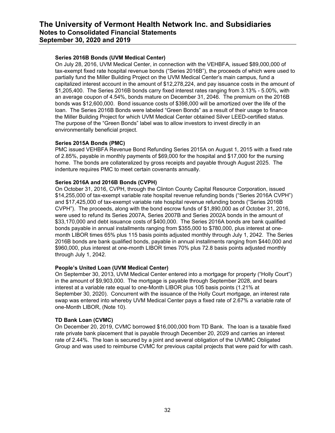#### **Series 2016B Bonds (UVM Medical Center)**

On July 28, 2016, UVM Medical Center, in connection with the VEHBFA, issued \$89,000,000 of tax-exempt fixed rate hospital revenue bonds ("Series 2016B"), the proceeds of which were used to partially fund the Miller Building Project on the UVM Medical Center's main campus, fund a capitalized interest account in the amount of \$12,278,224, and pay issuance costs in the amount of \$1,205,400. The Series 2016B bonds carry fixed interest rates ranging from 3.13% - 5.00%, with an average coupon of 4.54%, bonds mature on December 31, 2046. The premium on the 2016B bonds was \$12,600,000. Bond issuance costs of \$398,000 will be amortized over the life of the loan. The Series 2016B Bonds were labeled "Green Bonds" as a result of their usage to finance the Miller Building Project for which UVM Medical Center obtained Silver LEED-certified status. The purpose of the "Green Bonds" label was to allow investors to invest directly in an environmentally beneficial project.

#### **Series 2015A Bonds (PMC)**

PMC issued VEHBFA Revenue Bond Refunding Series 2015A on August 1, 2015 with a fixed rate of 2.85%, payable in monthly payments of \$69,000 for the hospital and \$17,000 for the nursing home. The bonds are collateralized by gross receipts and payable through August 2025. The indenture requires PMC to meet certain covenants annually.

#### **Series 2016A and 2016B Bonds (CVPH)**

On October 31, 2016, CVPH, through the Clinton County Capital Resource Corporation, issued \$14,255,000 of tax-exempt variable rate hospital revenue refunding bonds ("Series 2016A CVPH") and \$17,425,000 of tax-exempt variable rate hospital revenue refunding bonds ("Series 2016B CVPH"). The proceeds, along with the bond escrow funds of \$1,890,000 as of October 31, 2016, were used to refund its Series 2007A, Series 2007B and Series 2002A bonds in the amount of \$33,170,000 and debt issuance costs of \$400,000. The Series 2016A bonds are bank qualified bonds payable in annual installments ranging from \$355,000 to \$780,000, plus interest at onemonth LIBOR times 65% plus 115 basis points adjusted monthly through July 1, 2042. The Series 2016B bonds are bank qualified bonds, payable in annual installments ranging from \$440,000 and \$960,000, plus interest at one-month LIBOR times 70% plus 72.8 basis points adjusted monthly through July 1, 2042.

#### **People's United Loan (UVM Medical Center)**

On September 30, 2013, UVM Medical Center entered into a mortgage for property ("Holly Court") in the amount of \$9,903,000. The mortgage is payable through September 2028, and bears interest at a variable rate equal to one-Month LIBOR plus 105 basis points (1.21% at September 30, 2020). Concurrent with the issuance of the Holly Court mortgage, an interest rate swap was entered into whereby UVM Medical Center pays a fixed rate of 2.67% a variable rate of one-Month LIBOR, (Note 10).

#### **TD Bank Loan (CVMC)**

On December 20, 2019, CVMC borrowed \$16,000,000 from TD Bank. The loan is a taxable fixed rate private bank placement that is payable through December 20, 2029 and carries an interest rate of 2.44%. The loan is secured by a joint and several obligation of the UVMMC Obligated Group and was used to reimburse CVMC for previous capital projects that were paid for with cash.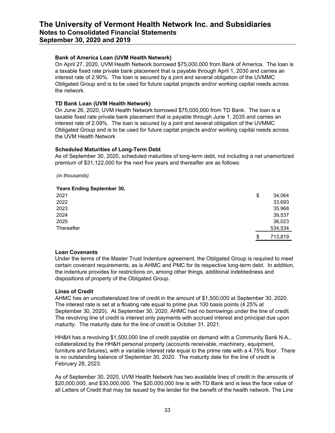#### **Bank of America Loan (UVM Health Network)**

On April 27, 2020, UVM Health Network borrowed \$75,000,000 from Bank of America. The loan is a taxable fixed rate private bank placement that is payable through April 1, 2030 and carries an interest rate of 2.90%. The loan is secured by a joint and several obligation of the UVMMC Obligated Group and is to be used for future capital projects and/or working capital needs across the network.

#### **TD Bank Loan (UVM Health Network)**

On June 26, 2020, UVM Health Network borrowed \$75,000,000 from TD Bank. The loan is a taxable fixed rate private bank placement that is payable through June 1, 2035 and carries an interest rate of 2.09%. The loan is secured by a joint and several obligation of the UVMMC Obligated Group and is to be used for future capital projects and/or working capital needs across the UVM Health Network

#### **Scheduled Maturities of Long-Term Debt**

As of September 30, 2020, scheduled maturities of long-term debt, not including a net unamortized premium of \$31,122,000 for the next five years and thereafter are as follows:

*(in thousands)*

#### **Years Ending September 30,**

|            |  | $\overline{\phantom{a}}$ |  |  |  |  |               |
|------------|--|--------------------------|--|--|--|--|---------------|
| 2021       |  |                          |  |  |  |  | \$<br>34,064  |
| 2022       |  |                          |  |  |  |  | 33,693        |
| 2023       |  |                          |  |  |  |  | 35,968        |
| 2024       |  |                          |  |  |  |  | 39,537        |
| 2025       |  |                          |  |  |  |  | 36,023        |
| Thereafter |  |                          |  |  |  |  | 534,534       |
|            |  |                          |  |  |  |  | \$<br>713,819 |

#### **Loan Covenants**

Under the terms of the Master Trust Indenture agreement, the Obligated Group is required to meet certain covenant requirements, as is AHMC and PMC for its respective long-term debt. In addition, the indenture provides for restrictions on, among other things, additional indebtedness and dispositions of property of the Obligated Group.

#### **Lines of Credit**

AHMC has an uncollateralized line of credit in the amount of \$1,500,000 at September 30, 2020. The interest rate is set at a floating rate equal to prime plus 100 basis points (4.25% at September 30, 2020). At September 30, 2020, AHMC had no borrowings under the line of credit. The revolving line of credit is interest only payments with accrued interest and principal due upon maturity. The maturity date for the line of credit is October 31, 2021.

HH&H has a revolving \$1,500,000 line of credit payable on demand with a Community Bank N.A., collateralized by the HH&H personal property (accounts receivable, machinery, equipment, furniture and fixtures), with a variable interest rate equal to the prime rate with a 4.75% floor. There is no outstanding balance of September 30, 2020. The maturity date for the line of credit is February 28, 2023.

As of September 30, 2020, UVM Health Network has two available lines of credit in the amounts of \$20,000,000, and \$30,000,000. The \$20,000,000 line is with TD Bank and is less the face value of all Letters of Credit that may be issued by the lender for the benefit of the health network. The Line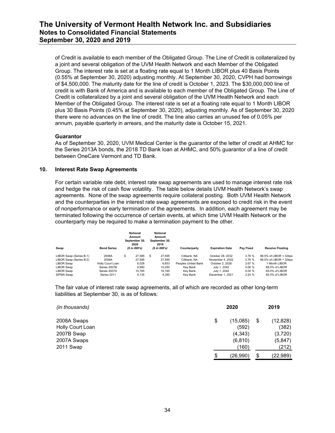of Credit is available to each member of the Obligated Group. The Line of Credit is collateralized by a joint and several obligation of the UVM Health Network and each Member of the Obligated Group. The interest rate is set at a floating rate equal to 1 Month LIBOR plus 40 Basis Points (0.55% at September 30, 2020) adjusting monthly. At September 30, 2020, CVPH had borrowings of \$4,500,000. The maturity date for the line of credit is October 1, 2023. The \$30,000,000 line of credit is with Bank of America and is available to each member of the Obligated Group. The Line of Credit is collateralized by a joint and several obligation of the UVM Health Network and each Member of the Obligated Group. The interest rate is set at a floating rate equal to 1 Month LIBOR plus 30 Basis Points (0.45% at September 30, 2020), adjusting monthly. As of September 30, 2020 there were no advances on the line of credit. The line also carries an unused fee of 0.05% per annum, payable quarterly in arrears, and the maturity date is October 15, 2021.

#### **Guarantor**

As of September 30, 2020, UVM Medical Center is the guarantor of the letter of credit at AHMC for the Series 2013A bonds, the 2018 TD Bank loan at AHMC, and 50% guarantor of a line of credit between OneCare Vermont and TD Bank.

#### **10. Interest Rate Swap Agreements**

For certain variable rate debt, interest rate swap agreements are used to manage interest rate risk and hedge the risk of cash flow volatility. The table below details UVM Health Network's swap agreements. None of the swap agreements require collateral posting. Both UVM Health Network and the counterparties in the interest rate swap agreements are exposed to credit risk in the event of nonperformance or early termination of the agreements. In addition, each agreement may be terminated following the occurrence of certain events, at which time UVM Health Network or the counterparty may be required to make a termination payment to the other.

| Swap                    | <b>Bond Series</b> | <b>Notional</b><br>Amount<br>September 30.<br>2020<br>(S in 000's) | <b>Notional</b><br>Amount<br>September 30.<br>2019<br>(S in 000's) | Counterparty        | <b>Expiration Date</b> | <b>Pav Fixed</b> | <b>Receive Floating</b> |
|-------------------------|--------------------|--------------------------------------------------------------------|--------------------------------------------------------------------|---------------------|------------------------|------------------|-------------------------|
| LIBOR Swap (Series B-1) | 2008A              | \$<br>27.595                                                       | \$<br>27.595                                                       | Citibank, NA        | October 28, 2032       | 3.76 %           | 66.5% of LIBOR + 32bps  |
| LIBOR Swap (Series B-2) | 2008A              | 27.595                                                             | 27.595                                                             | Citibank, NA        | November 4, 2032       | 3.76 %           | 66.5% of LIBOR + 32bps  |
| LIBOR Swap              | Holly Court Loan   | 6.028                                                              | 6.653                                                              | Peoples United Bank | October 2, 2028        | 2.67 %           | 1 Month LIBOR           |
| LIBOR Swap              | Series 2007B       | 9.990                                                              | 10.250                                                             | Kev Bank            | July 1, 2042           | 4.06 %           | 68.0% of LIBOR          |
| LIBOR Swap              | Series 2007A       | 15.765                                                             | 16.165                                                             | Kev Bank            | July 1, 2042           | 4.00 %           | 65.0% of LIBOR          |
| SIFMA Swap              | Series 2011        | 4.135                                                              | 4.390                                                              | Kev Bank            | December 1, 2021       | 3.24%            | 65.0% of LIBOR          |

The fair value of interest rate swap agreements, all of which are recorded as other long-term liabilities at September 30, is as of follows:

| (in thousands)   | 2020           | 2019            |
|------------------|----------------|-----------------|
| 2008A Swaps      | \$<br>(15,085) | \$<br>(12, 828) |
| Holly Court Loan | (592)          | (382)           |
| 2007B Swap       | (4, 343)       | (3,720)         |
| 2007A Swaps      | (6, 810)       | (5,847)         |
| 2011 Swap        | (160)          | (212)           |
|                  | \$<br>(26,990) | \$<br>(22, 989) |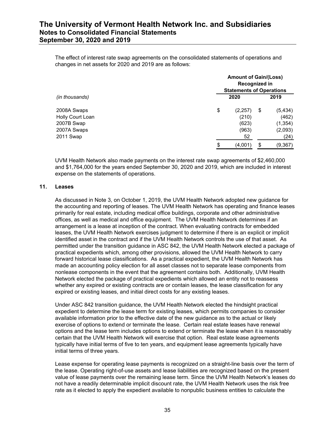The effect of interest rate swap agreements on the consolidated statements of operations and changes in net assets for 2020 and 2019 are as follows:

|                  | <b>Amount of Gain/(Loss)</b><br>Recognized in<br><b>Statements of Operations</b> |         |    |          |  |  |  |
|------------------|----------------------------------------------------------------------------------|---------|----|----------|--|--|--|
| (in thousands)   |                                                                                  | 2020    |    |          |  |  |  |
| 2008A Swaps      | \$                                                                               | (2,257) | \$ | (5, 434) |  |  |  |
| Holly Court Loan |                                                                                  | (210)   |    | (462)    |  |  |  |
| 2007B Swap       |                                                                                  | (623)   |    | (1, 354) |  |  |  |
| 2007A Swaps      |                                                                                  | (963)   |    | (2,093)  |  |  |  |
| 2011 Swap        |                                                                                  | 52      |    | (24)     |  |  |  |
|                  | S                                                                                | (4,001) | \$ | (9, 367) |  |  |  |

UVM Health Network also made payments on the interest rate swap agreements of \$2,460,000 and \$1,764,000 for the years ended September 30, 2020 and 2019, which are included in interest expense on the statements of operations.

#### **11. Leases**

As discussed in Note 3, on October 1, 2019, the UVM Health Network adopted new guidance for the accounting and reporting of leases. The UVM Health Network has operating and finance leases primarily for real estate, including medical office buildings, corporate and other administrative offices, as well as medical and office equipment. The UVM Health Network determines if an arrangement is a lease at inception of the contract. When evaluating contracts for embedded leases, the UVM Health Network exercises judgment to determine if there is an explicit or implicit identified asset in the contract and if the UVM Health Network controls the use of that asset. As permitted under the transition guidance in ASC 842, the UVM Health Network elected a package of practical expedients which, among other provisions, allowed the UVM Health Network to carry forward historical lease classifications. As a practical expedient, the UVM Health Network has made an accounting policy election for all asset classes not to separate lease components from nonlease components in the event that the agreement contains both. Additionally, UVM Health Network elected the package of practical expedients which allowed an entity not to reassess whether any expired or existing contracts are or contain leases, the lease classification for any expired or existing leases, and initial direct costs for any existing leases.

Under ASC 842 transition guidance, the UVM Health Network elected the hindsight practical expedient to determine the lease term for existing leases, which permits companies to consider available information prior to the effective date of the new guidance as to the actual or likely exercise of options to extend or terminate the lease. Certain real estate leases have renewal options and the lease term includes options to extend or terminate the lease when it is reasonably certain that the UVM Health Network will exercise that option. Real estate lease agreements typically have initial terms of five to ten years, and equipment lease agreements typically have initial terms of three years.

Lease expense for operating lease payments is recognized on a straight-line basis over the term of the lease. Operating right-of-use assets and lease liabilities are recognized based on the present value of lease payments over the remaining lease term. Since the UVM Health Network's leases do not have a readily determinable implicit discount rate, the UVM Health Network uses the risk free rate as it elected to apply the expedient available to nonpublic business entities to calculate the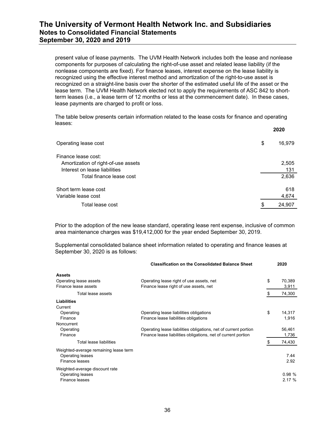present value of lease payments. The UVM Health Network includes both the lease and nonlease components for purposes of calculating the right-of-use asset and related lease liability (if the nonlease components are fixed). For finance leases, interest expense on the lease liability is recognized using the effective interest method and amortization of the right-to-use asset is recognized on a straight-line basis over the shorter of the estimated useful life of the asset or the lease term. The UVM Health Network elected not to apply the requirements of ASC 842 to shortterm leases (i.e., a lease term of 12 months or less at the commencement date). In these cases, lease payments are charged to profit or loss.

The table below presents certain information related to the lease costs for finance and operating leases:

|                                     | 2020         |
|-------------------------------------|--------------|
| Operating lease cost                | \$<br>16,979 |
| Finance lease cost:                 |              |
| Amortization of right-of-use assets | 2,505        |
| Interest on lease liabilities       | 131          |
| Total finance lease cost            | 2,636        |
| Short term lease cost               | 618          |
| Variable lease cost                 | 4,674        |
| Total lease cost                    | 24,907       |
|                                     |              |

Prior to the adoption of the new lease standard, operating lease rent expense, inclusive of common area maintenance charges was \$19,412,000 for the year ended September 30, 2019.

Supplemental consolidated balance sheet information related to operating and finance leases at September 30, 2020 is as follows:

| <b>Classification on the Consolidated Balance Sheet</b>         | 2020         |
|-----------------------------------------------------------------|--------------|
|                                                                 |              |
| Operating lease right of use assets, net                        | \$<br>70,389 |
| Finance lease right of use assets, net                          | 3,911        |
|                                                                 | 74,300       |
|                                                                 |              |
|                                                                 |              |
| Operating lease liabilities obligations                         | \$<br>14,317 |
| Finance lease liabilities obligations                           | 1,916        |
|                                                                 |              |
| Operating lease liabilities obligations, net of current portion | 56,461       |
| Finance lease liabilities obligations, net of current portion   | 1,736        |
|                                                                 | 74,430       |
|                                                                 |              |
|                                                                 | 7.44         |
|                                                                 | 2.92         |
|                                                                 |              |
|                                                                 | 0.98%        |
|                                                                 | 2.17%        |
|                                                                 |              |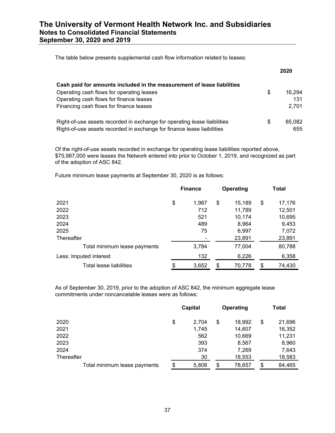| The table below presents supplemental cash flow information related to leases: |  |
|--------------------------------------------------------------------------------|--|
|                                                                                |  |

|                                                                           |    | 2020   |
|---------------------------------------------------------------------------|----|--------|
| Cash paid for amounts included in the measurement of lease liabilities    |    |        |
| Operating cash flows for operating leases                                 | \$ | 16.294 |
| Operating cash flows for finance leases                                   |    | 131    |
| Financing cash flows for finance leases                                   |    | 2,701  |
| Right-of-use assets recorded in exchange for operating lease liaibilities | S  | 85,082 |
| Right-of-use assets recorded in exchange for finance lease liaibilities   |    | 655    |

Of the right-of-use assets recorded in exchange for operating lease liabilities reported above, \$75,987,000 were leases the Network entered into prior to October 1, 2019, and recognized as part of the adoption of ASC 842.

Future minimum lease payments at September 30, 2020 is as follows:

|                              | <b>Finance</b> | Operating |        | <b>Total</b> |        |
|------------------------------|----------------|-----------|--------|--------------|--------|
| 2021                         | \$<br>1,987    | \$        | 15,189 | \$           | 17,176 |
| 2022                         | 712            |           | 11,789 |              | 12,501 |
| 2023                         | 521            |           | 10,174 |              | 10,695 |
| 2024                         | 489            |           | 8,964  |              | 9,453  |
| 2025                         | 75             |           | 6,997  |              | 7,072  |
| Thereafter                   |                |           | 23,891 |              | 23,891 |
| Total minimum lease payments | 3,784          |           | 77,004 |              | 80,788 |
| Less: Imputed interest       | 132            |           | 6,226  |              | 6,358  |
| Total lease liabilities      | \$<br>3,652    | \$        | 70,778 | \$           | 74,430 |

As of September 30, 2019, prior to the adoption of ASC 842, the minimum aggregate lease commitments under noncancelable leases were as follows:

|                              | Capital     | Operating    | <b>Total</b> |
|------------------------------|-------------|--------------|--------------|
| 2020                         | \$<br>2,704 | \$<br>18,992 | \$<br>21,696 |
| 2021                         | 1,745       | 14,607       | 16,352       |
| 2022                         | 562         | 10,669       | 11,231       |
| 2023                         | 393         | 8,567        | 8,960        |
| 2024                         | 374         | 7,269        | 7,643        |
| Thereafter                   | 30          | 18,553       | 18,583       |
| Total minimum lease payments | \$<br>5,808 | \$<br>78,657 | \$<br>84,465 |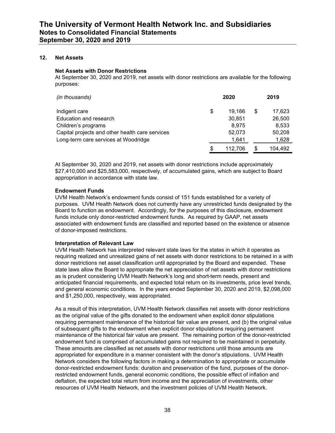#### **12. Net Assets**

#### **Net Assets with Donor Restrictions**

At September 30, 2020 and 2019, net assets with donor restrictions are available for the following purposes:

| (in thousands)                                  |    | 2020    |   | 2019    |
|-------------------------------------------------|----|---------|---|---------|
| Indigent care                                   | \$ | 19.166  | S | 17,623  |
| Education and research                          |    | 30.851  |   | 26,500  |
| Children's programs                             |    | 8.975   |   | 8,533   |
| Capital projects and other health care services |    | 52.073  |   | 50,208  |
| Long-term care services at Woodridge            |    | 1,641   |   | 1,628   |
|                                                 | S  | 112.706 |   | 104.492 |

At September 30, 2020 and 2019, net assets with donor restrictions include approximately \$27,410,000 and \$25,583,000, respectively, of accumulated gains, which are subject to Board appropriation in accordance with state law.

#### **Endowment Funds**

UVM Health Network's endowment funds consist of 151 funds established for a variety of purposes. UVM Health Network does not currently have any unrestricted funds designated by the Board to function as endowment. Accordingly, for the purposes of this disclosure, endowment funds include only donor-restricted endowment funds. As required by GAAP, net assets associated with endowment funds are classified and reported based on the existence or absence of donor-imposed restrictions.

#### **Interpretation of Relevant Law**

UVM Health Network has interpreted relevant state laws for the states in which it operates as requiring realized and unrealized gains of net assets with donor restrictions to be retained in a with donor restrictions net asset classification until appropriated by the Board and expended. These state laws allow the Board to appropriate the net appreciation of net assets with donor restrictions as is prudent considering UVM Health Network's long and short-term needs, present and anticipated financial requirements, and expected total return on its investments, price level trends, and general economic conditions. In the years ended September 30, 2020 and 2019, \$2,098,000 and \$1,250,000, respectively, was appropriated.

As a result of this interpretation, UVM Health Network classifies net assets with donor restrictions as the original value of the gifts donated to the endowment when explicit donor stipulations requiring permanent maintenance of the historical fair value are present, and (b) the original value of subsequent gifts to the endowment when explicit donor stipulations requiring permanent maintenance of the historical fair value are present. The remaining portion of the donor-restricted endowment fund is comprised of accumulated gains not required to be maintained in perpetuity. These amounts are classified as net assets with donor restrictions until those amounts are appropriated for expenditure in a manner consistent with the donor's stipulations. UVM Health Network considers the following factors in making a determination to appropriate or accumulate donor-restricted endowment funds: duration and preservation of the fund, purposes of the donorrestricted endowment funds, general economic conditions, the possible effect of inflation and deflation, the expected total return from income and the appreciation of investments, other resources of UVM Health Network, and the investment policies of UVM Health Network.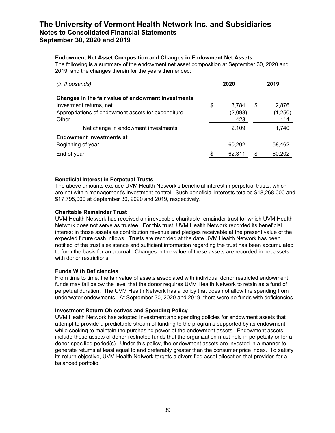#### **Endowment Net Asset Composition and Changes in Endowment Net Assets**

The following is a summary of the endowment net asset composition at September 30, 2020 and 2019, and the changes therein for the years then ended:

| (in thousands)                                     | 2020         |   | 2019    |
|----------------------------------------------------|--------------|---|---------|
| Changes in the fair value of endowment investments |              |   |         |
| Investment returns, net                            | \$<br>3.784  | S | 2.876   |
| Appropriations of endowment assets for expenditure | (2,098)      |   | (1,250) |
| Other                                              | 423          |   | 114     |
| Net change in endowment investments                | 2,109        |   | 1,740   |
| <b>Endowment investments at</b>                    |              |   |         |
| Beginning of year                                  | 60,202       |   | 58,462  |
| End of year                                        | \$<br>62,311 | S | 60,202  |

#### **Beneficial Interest in Perpetual Trusts**

The above amounts exclude UVM Health Network's beneficial interest in perpetual trusts, which are not within management's investment control. Such beneficial interests totaled \$18,268,000 and \$17,795,000 at September 30, 2020 and 2019, respectively.

#### **Charitable Remainder Trust**

UVM Health Network has received an irrevocable charitable remainder trust for which UVM Health Network does not serve as trustee. For this trust, UVM Health Network recorded its beneficial interest in those assets as contribution revenue and pledges receivable at the present value of the expected future cash inflows. Trusts are recorded at the date UVM Health Network has been notified of the trust's existence and sufficient information regarding the trust has been accumulated to form the basis for an accrual. Changes in the value of these assets are recorded in net assets with donor restrictions.

#### **Funds With Deficiencies**

From time to time, the fair value of assets associated with individual donor restricted endowment funds may fall below the level that the donor requires UVM Health Network to retain as a fund of perpetual duration. The UVM Health Network has a policy that does not allow the spending from underwater endowments. At September 30, 2020 and 2019, there were no funds with deficiencies.

#### **Investment Return Objectives and Spending Policy**

UVM Health Network has adopted investment and spending policies for endowment assets that attempt to provide a predictable stream of funding to the programs supported by its endowment while seeking to maintain the purchasing power of the endowment assets. Endowment assets include those assets of donor-restricted funds that the organization must hold in perpetuity or for a donor-specified period(s). Under this policy, the endowment assets are invested in a manner to generate returns at least equal to and preferably greater than the consumer price index. To satisfy its return objective, UVM Health Network targets a diversified asset allocation that provides for a balanced portfolio.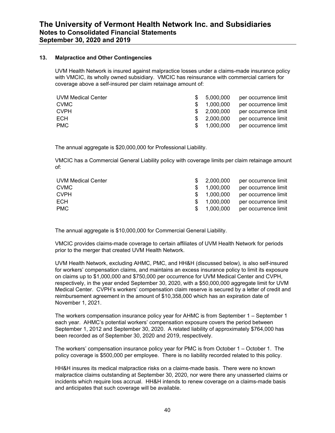#### **13. Malpractice and Other Contingencies**

UVM Health Network is insured against malpractice losses under a claims-made insurance policy with VMCIC, its wholly owned subsidiary. VMCIC has reinsurance with commercial carriers for coverage above a self-insured per claim retainage amount of:

| UVM Medical Center | \$ 5.000.000 | per occurrence limit |
|--------------------|--------------|----------------------|
| <b>CVMC</b>        | 1.000.000    | per occurrence limit |
| <b>CVPH</b>        | \$ 2.000.000 | per occurrence limit |
| ECH                | \$ 2.000.000 | per occurrence limit |
| PMC.               | \$ 1.000.000 | per occurrence limit |

The annual aggregate is \$20,000,000 for Professional Liability.

VMCIC has a Commercial General Liability policy with coverage limits per claim retainage amount of:

| UVM Medical Center | \$2.000.000  | per occurrence limit |
|--------------------|--------------|----------------------|
| CVMC               | 1.000.000    | per occurrence limit |
| <b>CVPH</b>        | \$ 1.000.000 | per occurrence limit |
| ECH                | 1.000.000    | per occurrence limit |
| <b>PMC</b>         | \$ 1.000.000 | per occurrence limit |

The annual aggregate is \$10,000,000 for Commercial General Liability.

VMCIC provides claims-made coverage to certain affiliates of UVM Health Network for periods prior to the merger that created UVM Health Network.

UVM Health Network, excluding AHMC, PMC, and HH&H (discussed below), is also self-insured for workers' compensation claims, and maintains an excess insurance policy to limit its exposure on claims up to \$1,000,000 and \$750,000 per occurrence for UVM Medical Center and CVPH, respectively, in the year ended September 30, 2020, with a \$50,000,000 aggregate limit for UVM Medical Center. CVPH's workers' compensation claim reserve is secured by a letter of credit and reimbursement agreement in the amount of \$10,358,000 which has an expiration date of November 1, 2021.

The workers compensation insurance policy year for AHMC is from September 1 – September 1 each year. AHMC's potential workers' compensation exposure covers the period between September 1, 2012 and September 30, 2020. A related liability of approximately \$764,000 has been recorded as of September 30, 2020 and 2019, respectively.

The workers' compensation insurance policy year for PMC is from October 1 – October 1. The policy coverage is \$500,000 per employee. There is no liability recorded related to this policy.

HH&H insures its medical malpractice risks on a claims-made basis. There were no known malpractice claims outstanding at September 30, 2020, nor were there any unasserted claims or incidents which require loss accrual. HH&H intends to renew coverage on a claims-made basis and anticipates that such coverage will be available.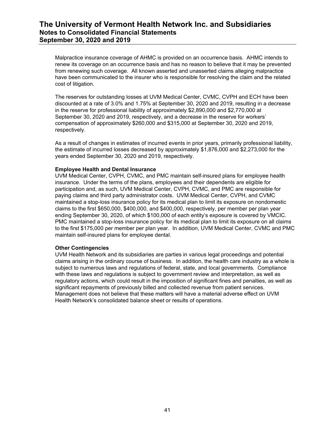Malpractice insurance coverage of AHMC is provided on an occurrence basis. AHMC intends to renew its coverage on an occurrence basis and has no reason to believe that it may be prevented from renewing such coverage. All known asserted and unasserted claims alleging malpractice have been communicated to the insurer who is responsible for resolving the claim and the related cost of litigation.

The reserves for outstanding losses at UVM Medical Center, CVMC, CVPH and ECH have been discounted at a rate of 3.0% and 1.75% at September 30, 2020 and 2019, resulting in a decrease in the reserve for professional liability of approximately \$2,890,000 and \$2,770,000 at September 30, 2020 and 2019, respectively, and a decrease in the reserve for workers' compensation of approximately \$260,000 and \$315,000 at September 30, 2020 and 2019, respectively.

As a result of changes in estimates of incurred events in prior years, primarily professional liability, the estimate of incurred losses decreased by approximately \$1,876,000 and \$2,273,000 for the years ended September 30, 2020 and 2019, respectively.

#### **Employee Health and Dental Insurance**

UVM Medical Center, CVPH, CVMC, and PMC maintain self-insured plans for employee health insurance. Under the terms of the plans, employees and their dependents are eligible for participation and, as such, UVM Medical Center, CVPH, CVMC, and PMC are responsible for paying claims and third party administrator costs. UVM Medical Center, CVPH, and CVMC maintained a stop-loss insurance policy for its medical plan to limit its exposure on nondomestic claims to the first \$650,000, \$400,000, and \$400,000, respectively, per member per plan year ending September 30, 2020, of which \$100,000 of each entity's exposure is covered by VMCIC. PMC maintained a stop-loss insurance policy for its medical plan to limit its exposure on all claims to the first \$175,000 per member per plan year. In addition, UVM Medical Center, CVMC and PMC maintain self-insured plans for employee dental.

#### **Other Contingencies**

UVM Health Network and its subsidiaries are parties in various legal proceedings and potential claims arising in the ordinary course of business. In addition, the health care industry as a whole is subject to numerous laws and regulations of federal, state, and local governments. Compliance with these laws and regulations is subject to government review and interpretation, as well as regulatory actions, which could result in the imposition of significant fines and penalties, as well as significant repayments of previously billed and collected revenue from patient services. Management does not believe that these matters will have a material adverse effect on UVM Health Network's consolidated balance sheet or results of operations.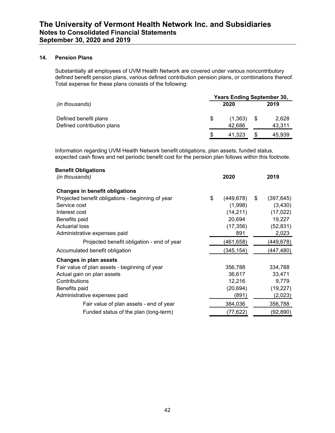#### **14. Pension Plans**

Substantially all employees of UVM Health Network are covered under various noncontributory defined benefit pension plans, various defined contribution pension plans, or combinations thereof. Total expense for these plans consists of the following:

|                            | <b>Years Ending September 30,</b> |         |  |        |  |
|----------------------------|-----------------------------------|---------|--|--------|--|
| (in thousands)             |                                   | 2020    |  | 2019   |  |
| Defined benefit plans      | \$.                               | (1,363) |  | 2,628  |  |
| Defined contribution plans |                                   | 42.686  |  | 43,311 |  |
|                            |                                   | 41.323  |  | 45.939 |  |

Information regarding UVM Health Network benefit obligations, plan assets, funded status, expected cash flows and net periodic benefit cost for the pension plan follows within this footnote.

| <b>Benefit Obligations</b>                        |                  |                  |
|---------------------------------------------------|------------------|------------------|
| (in thousands)                                    | 2020             | 2019             |
| <b>Changes in benefit obligations</b>             |                  |                  |
| Projected benefit obligations - beginning of year | \$<br>(449, 678) | \$<br>(397, 645) |
| Service cost                                      | (1,998)          | (3,430)          |
| Interest cost                                     | (14, 211)        | (17, 022)        |
| Benefits paid                                     | 20,694           | 19,227           |
| <b>Actuarial loss</b>                             | (17, 356)        | (52, 831)        |
| Administrative expenses paid                      | 891              | 2,023            |
| Projected benefit obligation - end of year        | (461,658)        | (449,678)        |
| Accumulated benefit obligation                    | (345, 154)       | (447, 480)       |
| <b>Changes in plan assets</b>                     |                  |                  |
| Fair value of plan assets - beginning of year     | 356,788          | 334,788          |
| Actual gain on plan assets                        | 36,617           | 33,471           |
| Contributions                                     | 12,216           | 9,779            |
| Benefits paid                                     | (20, 694)        | (19, 227)        |
| Administrative expenses paid                      | (891)            | (2,023)          |
| Fair value of plan assets - end of year           | 384,036          | 356,788          |
| Funded status of the plan (long-term)             | (77, 622)        | (92, 890)        |
|                                                   |                  |                  |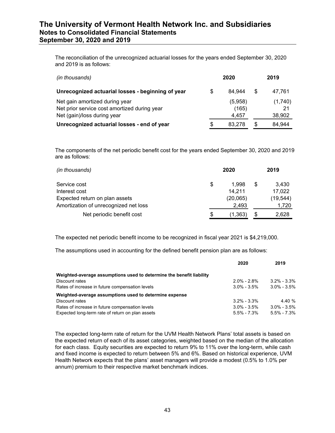The reconciliation of the unrecognized actuarial losses for the years ended September 30, 2020 and 2019 is as follows:

| (in thousands)                                                                                                | 2020 |                           |     | 2019                    |
|---------------------------------------------------------------------------------------------------------------|------|---------------------------|-----|-------------------------|
| Unrecognized actuarial losses - beginning of year                                                             | S    | 84.944                    | \$. | 47.761                  |
| Net gain amortized during year<br>Net prior service cost amortized during year<br>Net (gain)/loss during year |      | (5,958)<br>(165)<br>4.457 |     | (1,740)<br>21<br>38,902 |
| Unrecognized actuarial losses - end of year                                                                   | \$   | 83.278                    | S   | 84.944                  |

The components of the net periodic benefit cost for the years ended September 30, 2020 and 2019 are as follows:

| (in thousands)                        |    |          | 2019 |           |  |
|---------------------------------------|----|----------|------|-----------|--|
| Service cost                          | \$ | 1.998    | S    | 3,430     |  |
| Interest cost                         |    | 14.211   |      | 17,022    |  |
| Expected return on plan assets        |    | (20,065) |      | (19, 544) |  |
| Amortization of unrecognized net loss |    | 2.493    |      | 1.720     |  |
| Net periodic benefit cost             | S  | (1,363   |      | 2.628     |  |

The expected net periodic benefit income to be recognized in fiscal year 2021 is \$4,219,000.

The assumptions used in accounting for the defined benefit pension plan are as follows:

|                                                                      | 2020            | 2019            |
|----------------------------------------------------------------------|-----------------|-----------------|
| Weighted-average assumptions used to determine the benefit liability |                 |                 |
| Discount rates                                                       | $2.0\% - 2.8\%$ | $3.2\% - 3.3\%$ |
| Rates of increase in future compensation levels                      | $3.0\% - 3.5\%$ | $3.0\% - 3.5\%$ |
| Weighted-average assumptions used to determine expense               |                 |                 |
| Discount rates                                                       | $3.2\% - 3.3\%$ | 4.40 %          |
| Rates of increase in future compensation levels                      | $3.0\% - 3.5\%$ | $3.0\% - 3.5\%$ |
| Expected long-term rate of return on plan assets                     | $5.5\% - 7.3\%$ | $5.5\% - 7.3\%$ |

The expected long-term rate of return for the UVM Health Network Plans' total assets is based on the expected return of each of its asset categories, weighted based on the median of the allocation for each class. Equity securities are expected to return 9% to 11% over the long-term, while cash and fixed income is expected to return between 5% and 6%. Based on historical experience, UVM Health Network expects that the plans' asset managers will provide a modest (0.5% to 1.0% per annum) premium to their respective market benchmark indices.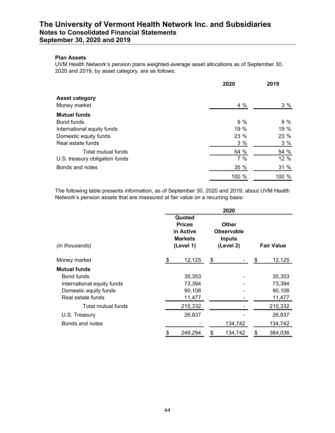#### **Plan Assets**

UVM Health Network's pension plans weighted-average asset allocations as of September 30, 2020 and 2019, by asset category, are as follows:

|                                | 2020  | 2019 |  |  |
|--------------------------------|-------|------|--|--|
| <b>Asset category</b>          |       |      |  |  |
| Money market                   | 4 %   | 3%   |  |  |
| <b>Mutual funds</b>            |       |      |  |  |
| Bond funds                     | 9%    | 9%   |  |  |
| International equity funds     | 19 %  | 19%  |  |  |
| Domestic equity funds          | 23 %  | 23 % |  |  |
| Real estate funds              | 3%    | 3%   |  |  |
| Total mutual funds             | 54 %  | 54 % |  |  |
| U.S. treasury obligation funds | 7%    | 12 % |  |  |
| Bonds and notes                | 35 %  | 31 % |  |  |
|                                | 100 % | 100% |  |  |

The following table presents information, as of September 30, 2020 and 2019, about UVM Health Network's pension assets that are measured at fair value on a recurring basis:

|                            | 2020 |                                                                     |    |                                                                 |                   |         |  |  |  |  |  |  |  |
|----------------------------|------|---------------------------------------------------------------------|----|-----------------------------------------------------------------|-------------------|---------|--|--|--|--|--|--|--|
| (in thousands)             |      | Quoted<br><b>Prices</b><br>in Active<br><b>Markets</b><br>(Level 1) |    | <b>Other</b><br><b>Observable</b><br><b>Inputs</b><br>(Level 2) | <b>Fair Value</b> |         |  |  |  |  |  |  |  |
| Money market               | \$   | 12,125                                                              | \$ |                                                                 | \$                | 12,125  |  |  |  |  |  |  |  |
| Mutual funds               |      |                                                                     |    |                                                                 |                   |         |  |  |  |  |  |  |  |
| Bond funds                 |      | 35,353                                                              |    |                                                                 |                   | 35,353  |  |  |  |  |  |  |  |
| International equity funds |      | 73,394                                                              |    |                                                                 |                   | 73,394  |  |  |  |  |  |  |  |
| Domestic equity funds      |      | 90,108                                                              |    |                                                                 |                   | 90,108  |  |  |  |  |  |  |  |
| Real estate funds          |      | 11,477                                                              |    |                                                                 |                   | 11,477  |  |  |  |  |  |  |  |
| Total mutual funds         |      | 210,332                                                             |    |                                                                 |                   | 210,332 |  |  |  |  |  |  |  |
| U.S. Treasury              |      | 26,837                                                              |    |                                                                 |                   | 26,837  |  |  |  |  |  |  |  |
| Bonds and notes            |      |                                                                     |    | 134,742                                                         |                   | 134,742 |  |  |  |  |  |  |  |
|                            | \$   | 249,294                                                             | \$ | 134,742                                                         | \$                | 384,036 |  |  |  |  |  |  |  |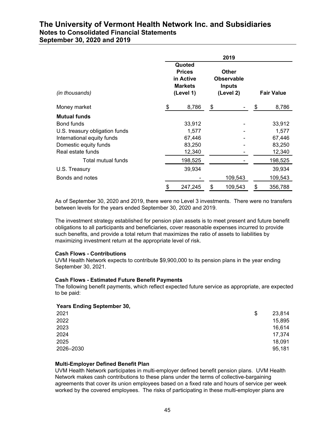|                                | 2019                                                                |    |                                                                 |    |                   |  |  |  |  |  |  |
|--------------------------------|---------------------------------------------------------------------|----|-----------------------------------------------------------------|----|-------------------|--|--|--|--|--|--|
| (in thousands)                 | Quoted<br><b>Prices</b><br>in Active<br><b>Markets</b><br>(Level 1) |    | <b>Other</b><br><b>Observable</b><br><b>Inputs</b><br>(Level 2) |    | <b>Fair Value</b> |  |  |  |  |  |  |
| Money market                   | \$<br>8,786                                                         | \$ |                                                                 | \$ | 8,786             |  |  |  |  |  |  |
| <b>Mutual funds</b>            |                                                                     |    |                                                                 |    |                   |  |  |  |  |  |  |
| Bond funds                     | 33,912                                                              |    |                                                                 |    | 33,912            |  |  |  |  |  |  |
| U.S. treasury obligation funds | 1,577                                                               |    |                                                                 |    | 1,577             |  |  |  |  |  |  |
| International equity funds     | 67,446                                                              |    |                                                                 |    | 67,446            |  |  |  |  |  |  |
| Domestic equity funds          | 83,250                                                              |    |                                                                 |    | 83,250            |  |  |  |  |  |  |
| Real estate funds              | 12,340                                                              |    |                                                                 |    | 12,340            |  |  |  |  |  |  |
| Total mutual funds             | 198,525                                                             |    |                                                                 |    | 198,525           |  |  |  |  |  |  |
| U.S. Treasury                  | 39,934                                                              |    |                                                                 |    | 39,934            |  |  |  |  |  |  |
| Bonds and notes                |                                                                     |    | 109,543                                                         |    | 109,543           |  |  |  |  |  |  |
|                                | \$<br>247,245                                                       | \$ | 109,543                                                         | \$ | 356,788           |  |  |  |  |  |  |

As of September 30, 2020 and 2019, there were no Level 3 investments. There were no transfers between levels for the years ended September 30, 2020 and 2019.

The investment strategy established for pension plan assets is to meet present and future benefit obligations to all participants and beneficiaries, cover reasonable expenses incurred to provide such benefits, and provide a total return that maximizes the ratio of assets to liabilities by maximizing investment return at the appropriate level of risk.

#### **Cash Flows - Contributions**

UVM Health Network expects to contribute \$9,900,000 to its pension plans in the year ending September 30, 2021.

#### **Cash Flows - Estimated Future Benefit Payments**

The following benefit payments, which reflect expected future service as appropriate, are expected to be paid:

#### **Years Ending September 30,**

| __        |              |
|-----------|--------------|
| 2021      | \$<br>23,814 |
| 2022      | 15,895       |
| 2023      | 16,614       |
| 2024      | 17,374       |
| 2025      | 18,091       |
| 2026-2030 | 95,181       |
|           |              |

#### **Multi-Employer Defined Benefit Plan**

UVM Health Network participates in multi-employer defined benefit pension plans. UVM Health Network makes cash contributions to these plans under the terms of collective-bargaining agreements that cover its union employees based on a fixed rate and hours of service per week worked by the covered employees. The risks of participating in these multi-employer plans are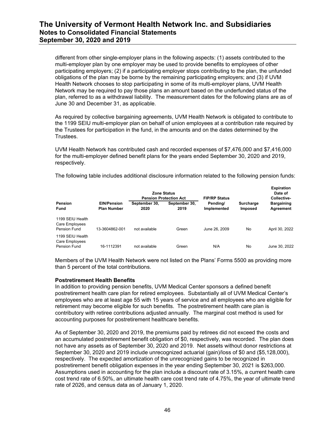different from other single-employer plans in the following aspects: (1) assets contributed to the multi-employer plan by one employer may be used to provide benefits to employees of other participating employers; (2) if a participating employer stops contributing to the plan, the unfunded obligations of the plan may be borne by the remaining participating employers; and (3) if UVM Health Network chooses to stop participating in some of its multi-employer plans, UVM Health Network may be required to pay those plans an amount based on the underfunded status of the plan, referred to as a withdrawal liability. The measurement dates for the following plans are as of June 30 and December 31, as applicable.

As required by collective bargaining agreements, UVM Health Network is obligated to contribute to the 1199 SEIU multi-employer plan on behalf of union employees at a contribution rate required by the Trustees for participation in the fund, in the amounts and on the dates determined by the Trustees.

UVM Health Network has contributed cash and recorded expenses of \$7,476,000 and \$7,416,000 for the multi-employer defined benefit plans for the years ended September 30, 2020 and 2019, respectively.

The following table includes additional disclosure information related to the following pension funds:

**Expiration**

|                                                    |                                          |                       | <b>Zone Status</b><br><b>Pension Protection Act</b> | <b>FIP/RP Status</b>    |                                    | Expiration<br>Date of<br>Collective- |
|----------------------------------------------------|------------------------------------------|-----------------------|-----------------------------------------------------|-------------------------|------------------------------------|--------------------------------------|
| Pension<br>Fund                                    | <b>EIN/Pension</b><br><b>Plan Number</b> | September 30,<br>2020 | September 30,<br>2019                               | Pending/<br>Implemented | <b>Surcharge</b><br><b>Imposed</b> | <b>Bargaining</b><br>Agreement       |
| 1199 SEIU Health<br>Care Employees<br>Pension Fund | 13-3604862-001                           | not available         | Green                                               | June 26, 2009           | No                                 | April 30, 2022                       |
| 1199 SEIU Health<br>Care Employees<br>Pension Fund | 16-1112391                               | not available         | Green                                               | N/A                     | No                                 | June 30, 2022                        |

Members of the UVM Health Network were not listed on the Plans' Forms 5500 as providing more than 5 percent of the total contributions.

#### **Postretirement Health Benefits**

In addition to providing pension benefits, UVM Medical Center sponsors a defined benefit postretirement health care plan for retired employees. Substantially all of UVM Medical Center's employees who are at least age 55 with 15 years of service and all employees who are eligible for retirement may become eligible for such benefits. The postretirement health care plan is contributory with retiree contributions adjusted annually. The marginal cost method is used for accounting purposes for postretirement healthcare benefits.

As of September 30, 2020 and 2019, the premiums paid by retirees did not exceed the costs and an accumulated postretirement benefit obligation of \$0, respectively, was recorded. The plan does not have any assets as of September 30, 2020 and 2019. Net assets without donor restrictions at September 30, 2020 and 2019 include unrecognized actuarial (gain)/loss of \$0 and (\$5,128,000), respectively. The expected amortization of the unrecognized gains to be recognized in postretirement benefit obligation expenses in the year ending September 30, 2021 is \$263,000. Assumptions used in accounting for the plan include a discount rate of 3.15%, a current health care cost trend rate of 6.50%, an ultimate health care cost trend rate of 4.75%, the year of ultimate trend rate of 2026, and census data as of January 1, 2020.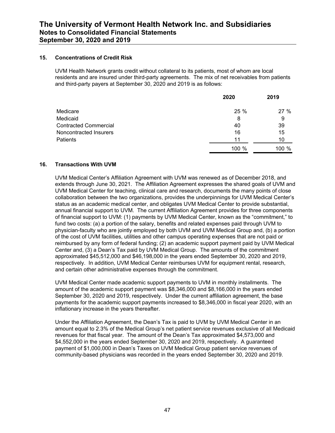#### **15. Concentrations of Credit Risk**

UVM Health Network grants credit without collateral to its patients, most of whom are local residents and are insured under third-party agreements. The mix of net receivables from patients and third-party payers at September 30, 2020 and 2019 is as follows:

|                              | 2020  | 2019    |
|------------------------------|-------|---------|
| Medicare                     | 25 %  | 27%     |
| Medicaid                     | 8     | 9       |
| <b>Contracted Commercial</b> | 40    | 39      |
| Noncontracted Insurers       | 16    | 15      |
| Patients                     | 11    | 10      |
|                              | 100 % | 100 $%$ |

#### **16. Transactions With UVM**

UVM Medical Center's Affiliation Agreement with UVM was renewed as of December 2018, and extends through June 30, 2021. The Affiliation Agreement expresses the shared goals of UVM and UVM Medical Center for teaching, clinical care and research, documents the many points of close collaboration between the two organizations, provides the underpinnings for UVM Medical Center's status as an academic medical center, and obligates UVM Medical Center to provide substantial, annual financial support to UVM. The current Affiliation Agreement provides for three components of financial support to UVM: (1) payments by UVM Medical Center, known as the "commitment," to fund two costs: (a) a portion of the salary, benefits and related expenses paid through UVM to physician-faculty who are jointly employed by both UVM and UVM Medical Group and, (b) a portion of the cost of UVM facilities, utilities and other campus operating expenses that are not paid or reimbursed by any form of federal funding; (2) an academic support payment paid by UVM Medical Center and, (3) a Dean's Tax paid by UVM Medical Group. The amounts of the commitment approximated \$45,512,000 and \$46,198,000 in the years ended September 30, 2020 and 2019, respectively. In addition, UVM Medical Center reimburses UVM for equipment rental, research, and certain other administrative expenses through the commitment.

UVM Medical Center made academic support payments to UVM in monthly installments. The amount of the academic support payment was \$8,346,000 and \$8,166,000 in the years ended September 30, 2020 and 2019, respectively. Under the current affiliation agreement, the base payments for the academic support payments increased to \$8,346,000 in fiscal year 2020, with an inflationary increase in the years thereafter.

Under the Affiliation Agreement, the Dean's Tax is paid to UVM by UVM Medical Center in an amount equal to 2.3% of the Medical Group's net patient service revenues exclusive of all Medicaid revenues for that fiscal year. The amount of the Dean's Tax approximated \$4,573,000 and \$4,552,000 in the years ended September 30, 2020 and 2019, respectively. A guaranteed payment of \$1,000,000 in Dean's Taxes on UVM Medical Group patient service revenues of community-based physicians was recorded in the years ended September 30, 2020 and 2019.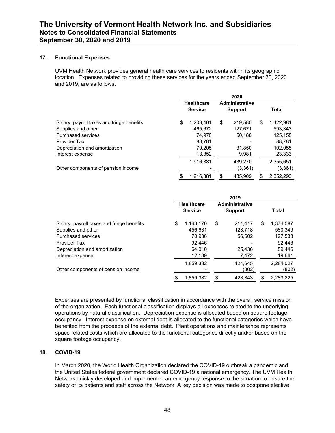#### **17. Functional Expenses**

UVM Health Network provides general health care services to residents within its geographic location. Expenses related to providing these services for the years ended September 30, 2020 and 2019, are as follows:

|                                           |                                     | 2020                                    |                 |
|-------------------------------------------|-------------------------------------|-----------------------------------------|-----------------|
|                                           | <b>Healthcare</b><br><b>Service</b> | <b>Administrative</b><br><b>Support</b> | <b>Total</b>    |
| Salary, payroll taxes and fringe benefits | \$<br>1,203,401                     | \$<br>219,580                           | \$<br>1,422,981 |
| Supplies and other                        | 465.672                             | 127,671                                 | 593.343         |
| Purchased services                        | 74.970                              | 50.188                                  | 125.158         |
| <b>Provider Tax</b>                       | 88,781                              |                                         | 88,781          |
| Depreciation and amortization             | 70,205                              | 31,850                                  | 102,055         |
| Interest expense                          | 13,352                              | 9,981                                   | 23,333          |
|                                           | 1.916.381                           | 439.270                                 | 2,355,651       |
| Other components of pension income        |                                     | (3,361)                                 | (3,361)         |
|                                           | \$<br>1.916.381                     | \$<br>435.909                           | \$<br>2.352.290 |

|                                                 |                                     | 2019                                    |                 |
|-------------------------------------------------|-------------------------------------|-----------------------------------------|-----------------|
|                                                 | <b>Healthcare</b><br><b>Service</b> | <b>Administrative</b><br><b>Support</b> | <b>Total</b>    |
| \$<br>Salary, payroll taxes and fringe benefits | 1.163.170                           | \$<br>211.417                           | \$<br>1.374.587 |
| Supplies and other                              | 456.631                             | 123.718                                 | 580.349         |
| Purchased services                              | 70,936                              | 56,602                                  | 127,538         |
| Provider Tax                                    | 92.446                              |                                         | 92.446          |
| Depreciation and amortization                   | 64.010                              | 25.436                                  | 89.446          |
| Interest expense                                | 12,189                              | 7,472                                   | 19,661          |
|                                                 | 1,859,382                           | 424.645                                 | 2,284,027       |
| Other components of pension income              |                                     | (802)                                   | (802)           |
|                                                 | 1,859,382                           | \$<br>423.843                           | \$<br>2,283,225 |

Expenses are presented by functional classification in accordance with the overall service mission of the organization. Each functional classification displays all expenses related to the underlying operations by natural classification. Depreciation expense is allocated based on square footage occupancy. Interest expense on external debt is allocated to the functional categories which have benefited from the proceeds of the external debt. Plant operations and maintenance represents space related costs which are allocated to the functional categories directly and/or based on the square footage occupancy.

#### **18. COVID-19**

In March 2020, the World Health Organization declared the COVID-19 outbreak a pandemic and the United States federal government declared COVID-19 a national emergency. The UVM Health Network quickly developed and implemented an emergency response to the situation to ensure the safety of its patients and staff across the Network. A key decision was made to postpone elective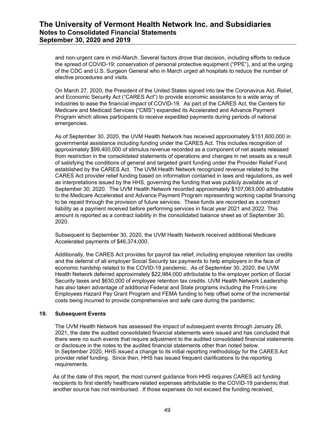and non-urgent care in mid-March. Several factors drove that decision, including efforts to reduce the spread of COVID-19; conservation of personal protective equipment ("PPE"), and at the urging of the CDC and U.S. Surgeon General who in March urged all hospitals to reduce the number of elective procedures and visits.

On March 27, 2020, the President of the United States signed into law the Coronavirus Aid, Relief, and Economic Security Act ("CARES Act") to provide economic assistance to a wide array of industries to ease the financial impact of COVID-19. As part of the CARES Act, the Centers for Medicare and Medicaid Services ("CMS") expanded its Accelerated and Advance Payment Program which allows participants to receive expedited payments during periods of national emergencies.

As of September 30, 2020, the UVM Health Network has received approximately \$151,600,000 in governmental assistance including funding under the CARES Act. This includes recognition of approximately \$99,400,000 of stimulus revenue recorded as a component of net assets released from restriction in the consolidated statements of operations and changes in net assets as a result of satisfying the conditions of general and targeted grant funding under the Provider Relief Fund established by the CARES Act. The UVM Health Network recognized revenue related to the CARES Act provider relief funding based on information contained in laws and regulations, as well as interpretations issued by the HHS, governing the funding that was publicly available as of September 30, 2020. The UVM Health Network recorded approximately \$107,063,000 attributable to the Medicare Accelerated and Advance Payment Program representing working capital financing to be repaid through the provision of future services. These funds are recorded as a contract liability as a payment received before performing services in fiscal year 2021 and 2022. This amount is reported as a contract liability in the consolidated balance sheet as of September 30, 2020.

Subsequent to September 30, 2020, the UVM Health Network received additional Medicare Accelerated payments of \$46,374,000.

Additionally, the CARES Act provides for payroll tax relief, including employee retention tax credits and the deferral of all employer Social Security tax payments to help employers in the face of economic hardship related to the COVID-19 pandemic. As of September 30, 2020, the UVM Health Network deferred approximately \$22,984,000 attributable to the employer portion of Social Security taxes and \$630,000 of employee retention tax credits. UVM Health Network Leadership has also taken advantage of additional Federal and State programs including the Front-Line Employees Hazard Pay Grant Program and FEMA funding to help offset some of the incremental costs being incurred to provide comprehensive and safe care during the pandemic.

#### **19. Subsequent Events**

The UVM Health Network has assessed the impact of subsequent events through January 28, 2021, the date the audited consolidated financial statements were issued and has concluded that there were no such events that require adjustment to the audited consolidated financial statements or disclosure in the notes to the audited financial statements other than noted below. In September 2020, HHS issued a change to its initial reporting methodology for the CARES Act provider relief funding. Since then, HHS has issued frequent clarifications to the reporting requirements.

As of the date of this report, the most current guidance from HHS requires CARES act funding recipients to first identify healthcare related expenses attributable to the COVID-19 pandemic that another source has not reimbursed. If those expenses do not exceed the funding received,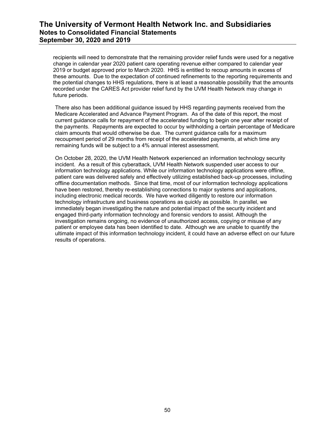recipients will need to demonstrate that the remaining provider relief funds were used for a negative change in calendar year 2020 patient care operating revenue either compared to calendar year 2019 or budget approved prior to March 2020. HHS is entitled to recoup amounts in excess of these amounts. Due to the expectation of continued refinements to the reporting requirements and the potential changes to HHS regulations, there is at least a reasonable possibility that the amounts recorded under the CARES Act provider relief fund by the UVM Health Network may change in future periods.

There also has been additional guidance issued by HHS regarding payments received from the Medicare Accelerated and Advance Payment Program. As of the date of this report, the most current guidance calls for repayment of the accelerated funding to begin one year after receipt of the payments. Repayments are expected to occur by withholding a certain percentage of Medicare claim amounts that would otherwise be due. The current guidance calls for a maximum recoupment period of 29 months from receipt of the accelerated payments, at which time any remaining funds will be subject to a 4% annual interest assessment.

On October 28, 2020, the UVM Health Network experienced an information technology security incident. As a result of this cyberattack, UVM Health Network suspended user access to our information technology applications. While our information technology applications were offline, patient care was delivered safely and effectively utilizing established back-up processes, including offline documentation methods. Since that time, most of our information technology applications have been restored, thereby re-establishing connections to major systems and applications, including electronic medical records. We have worked diligently to restore our information technology infrastructure and business operations as quickly as possible. In parallel, we immediately began investigating the nature and potential impact of the security incident and engaged third-party information technology and forensic vendors to assist. Although the investigation remains ongoing, no evidence of unauthorized access, copying or misuse of any patient or employee data has been identified to date. Although we are unable to quantify the ultimate impact of this information technology incident, it could have an adverse effect on our future results of operations.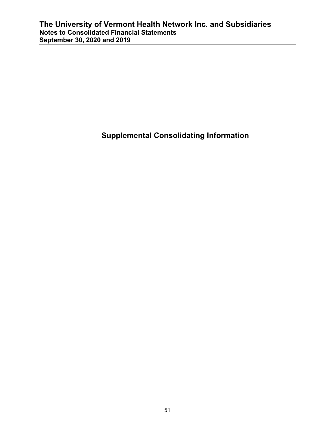**Supplemental Consolidating Information**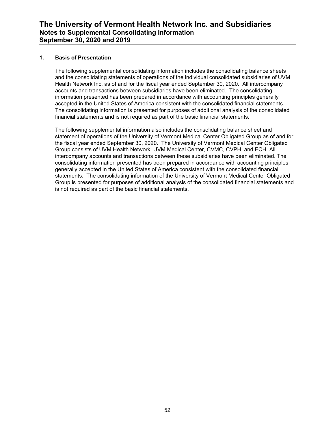#### **1. Basis of Presentation**

The following supplemental consolidating information includes the consolidating balance sheets and the consolidating statements of operations of the individual consolidated subsidiaries of UVM Health Network Inc. as of and for the fiscal year ended September 30, 2020. All intercompany accounts and transactions between subsidiaries have been eliminated. The consolidating information presented has been prepared in accordance with accounting principles generally accepted in the United States of America consistent with the consolidated financial statements. The consolidating information is presented for purposes of additional analysis of the consolidated financial statements and is not required as part of the basic financial statements.

The following supplemental information also includes the consolidating balance sheet and statement of operations of the University of Vermont Medical Center Obligated Group as of and for the fiscal year ended September 30, 2020. The University of Vermont Medical Center Obligated Group consists of UVM Health Network, UVM Medical Center, CVMC, CVPH, and ECH. All intercompany accounts and transactions between these subsidiaries have been eliminated. The consolidating information presented has been prepared in accordance with accounting principles generally accepted in the United States of America consistent with the consolidated financial statements. The consolidating information of the University of Vermont Medical Center Obligated Group is presented for purposes of additional analysis of the consolidated financial statements and is not required as part of the basic financial statements.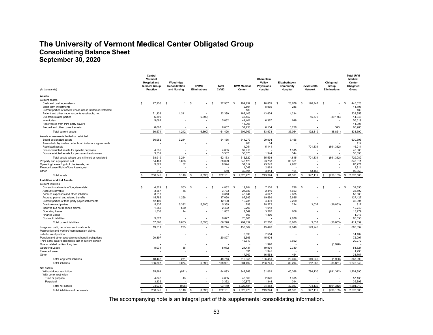### **The University of Vermont Medical Center Obligated Group Consolidating Balance Sheet September 30, 2020**

| (in thousands)                                               | Central<br>Vermont<br><b>Hospital and</b><br><b>Medical Group</b><br><b>Practice</b> |         | Woodridge<br>Rehabilitation<br>and Nursing |          | <b>CVMC</b><br><b>Eliminations</b> |     | Total<br><b>CVMC</b>     |               | <b>UVM Medical</b><br>Center |          | Champlain<br>Valley<br><b>Physicians</b><br>Hospital | Elizabethtown<br>Community<br>Hospital |        |          | <b>UVM Health</b><br><b>Network</b> |          | Obligated<br>Group<br><b>Eliminations</b> |    | <b>Total UVM</b><br>Medical<br>Center<br>Obligated<br>Group |
|--------------------------------------------------------------|--------------------------------------------------------------------------------------|---------|--------------------------------------------|----------|------------------------------------|-----|--------------------------|---------------|------------------------------|----------|------------------------------------------------------|----------------------------------------|--------|----------|-------------------------------------|----------|-------------------------------------------|----|-------------------------------------------------------------|
| Assets                                                       |                                                                                      |         |                                            |          |                                    |     |                          |               |                              |          |                                                      |                                        |        |          |                                     |          |                                           |    |                                                             |
| <b>Current assets</b>                                        |                                                                                      |         |                                            |          |                                    |     |                          |               |                              |          |                                                      |                                        |        |          |                                     |          |                                           |    |                                                             |
| Cash and cash equivalents                                    | \$                                                                                   | 27,956  | -S<br>1                                    | \$.      |                                    | S   | 27,957                   | <sup>\$</sup> | 194,792                      | -S       | 18,853                                               | -S                                     | 26,679 | <b>S</b> | 176,747                             | <b>S</b> |                                           | s  | 445,028                                                     |
| Short-term investments                                       |                                                                                      |         |                                            |          |                                    |     |                          |               | 2,594                        |          | 8,965                                                |                                        | 236    |          |                                     |          |                                           |    | 11,795                                                      |
| Current portion of assets whose use is limited or restricted |                                                                                      |         |                                            |          | ٠                                  |     |                          |               | 180                          |          |                                                      |                                        |        |          |                                     |          |                                           |    | 180                                                         |
| Patient and other trade accounts receivable, net             |                                                                                      | 21,139  | 1,241                                      |          |                                    |     | 22,380                   |               | 162,105                      |          | 43,634                                               |                                        | 4,234  |          |                                     |          |                                           |    | 232,353                                                     |
| Due from related parties                                     |                                                                                      | 6,390   |                                            |          | (6, 390)                           |     |                          |               | 38,452                       |          |                                                      |                                        |        |          | 15,572                              |          | (39, 176)                                 |    | 14,848                                                      |
| Inventories                                                  |                                                                                      | 5,082   |                                            |          |                                    |     | 5,082                    |               | 44,401                       |          | 6,387                                                |                                        | 649    |          |                                     |          |                                           |    | 56,519                                                      |
| Receivables from third-party payers                          |                                                                                      |         |                                            |          |                                    |     |                          |               | 11,007                       |          |                                                      |                                        |        |          |                                     |          |                                           |    | 11,007                                                      |
| Prepaid and other current assets                             |                                                                                      | 6.007   |                                            |          |                                    |     | 6.007                    |               | 51.238                       |          | 6.134                                                |                                        | 3.256  |          |                                     |          | 325                                       |    | 66.960                                                      |
| Total current assets                                         |                                                                                      | 66,574  | 1,242                                      |          | (6, 390)                           |     | 61,426                   |               | 504,769                      |          | 83,973                                               |                                        | 35,054 |          | 192,319                             |          | (38, 851)                                 |    | 838,690                                                     |
| Assets whose use is limited or restricted                    |                                                                                      |         |                                            |          |                                    |     |                          |               |                              |          |                                                      |                                        |        |          |                                     |          |                                           |    |                                                             |
| Board-designated assets                                      |                                                                                      | 50,952  | 3,214                                      |          | ÷,                                 |     | 54,166                   |               | 544,279                      |          | 29,094                                               |                                        | 3,156  |          |                                     |          |                                           |    | 630,695                                                     |
| Assets held by trustee under bond indenture agreements       |                                                                                      |         |                                            |          |                                    |     |                          |               | 403                          |          | 14                                                   |                                        |        |          |                                     |          |                                           |    | 417                                                         |
| <b>Restricted assets</b>                                     |                                                                                      |         |                                            |          |                                    |     |                          |               | 1,051                        |          | 5,141                                                |                                        | ÷,     |          | 701,331                             |          | (691, 312)                                |    | 16,211                                                      |
| Donor-restricted assets for specific purposes                |                                                                                      | 4,635   |                                            |          |                                    |     | 4,635                    |               | 39,916                       |          |                                                      |                                        | 1,315  |          |                                     |          |                                           |    | 45,866                                                      |
| Donor-restricted assets for permanent endowment              |                                                                                      | 3,332   |                                            |          |                                    |     | 3,332                    |               | 30,873                       |          | 1,344                                                |                                        | 344    |          |                                     |          |                                           |    | 35,893                                                      |
| Total assets whose use is limited or restricted              |                                                                                      | 58,919  | 3,214                                      |          |                                    |     | 62,133                   |               | 616,522                      |          | 35,593                                               |                                        | 4,815  |          | 701,331                             |          | (691, 312)                                |    | 729,082                                                     |
| Property and equipment, net                                  |                                                                                      | 64,461  | 3,638                                      |          |                                    |     | 68,099                   |               | 640,123                      |          | 93,738                                               |                                        | 38,351 |          |                                     |          |                                           |    | 840,311                                                     |
| Operating Lease Right of Use Assets, net                     |                                                                                      | 9,872   | 52                                         |          |                                    |     | 9,924                    |               | 31.617                       |          | 23.243                                               |                                        | 2,937  |          |                                     |          |                                           |    | 67.721                                                      |
| Finance Lease Right of Use Assets, net                       |                                                                                      |         |                                            |          |                                    |     | ٠.                       |               | 1,048                        |          | 2,863                                                |                                        |        |          |                                     |          |                                           |    | 3,911                                                       |
| Other                                                        |                                                                                      | 519     |                                            |          |                                    |     | 519                      |               | 32.894                       |          | 3.814                                                |                                        | 164    |          | 53.462                              |          |                                           |    | 90.853                                                      |
| <b>Total assets</b>                                          |                                                                                      | 200,345 | $\mathbf{\hat{S}}$<br>8,146                | S        | (6, 390)                           | \$. | 202,101                  | \$            | 1,826,973                    |          | 243,224                                              | $\mathbf{\hat{z}}$                     | 81,321 |          | 947,112                             | \$.      | (730, 163)                                | \$ | 2,570,568                                                   |
| <b>Liabilities and Net Assets</b>                            |                                                                                      |         |                                            |          |                                    |     |                          |               |                              |          |                                                      |                                        |        |          |                                     |          |                                           |    |                                                             |
| <b>Current liabilities</b>                                   |                                                                                      |         |                                            |          |                                    |     |                          |               |                              |          |                                                      |                                        |        |          |                                     |          |                                           |    |                                                             |
| Current installments of long-term debt                       | $\mathbf{s}$                                                                         | 4.329   | s.<br>503                                  | <b>S</b> |                                    | \$  | 4,832                    | -S            | 19.784                       | <b>s</b> | 7.138                                                | <b>S</b>                               | 796    | <b>S</b> |                                     | \$       |                                           | s  | 32.550                                                      |
| Accounts pavable                                             |                                                                                      | 3.687   | 46                                         |          |                                    |     | 3.733                    |               | 27.780                       |          | 2.416                                                |                                        | 1.663  |          |                                     |          |                                           |    | 35.592                                                      |
| Accrued expenses and other liabilities                       |                                                                                      | 3.313   |                                            |          |                                    |     | 3.313                    |               | 45.044                       |          | 4.647                                                |                                        | 2.685  |          |                                     |          |                                           |    | 55.689                                                      |
| Accrued payroll and related benefits                         |                                                                                      | 15,782  | 1,268                                      |          |                                    |     | 17,050                   |               | 87,993                       |          | 19,699                                               |                                        | 2,685  |          |                                     |          |                                           |    | 127,427                                                     |
| Current portion of third-party payer settlements             |                                                                                      | 12,100  |                                            |          |                                    |     | 12,100                   |               | 19,231                       |          | 4,491                                                |                                        | 2,269  |          |                                     |          |                                           |    | 38,091                                                      |
| Due to related parties                                       |                                                                                      | 5,337   | 6,392                                      |          | (6, 390)                           |     | 5,339                    |               | 798                          |          | 28,272                                               |                                        | 224    |          | 3,037                               |          | (36, 853)                                 |    | 817                                                         |
| Incurred but not reported claims                             |                                                                                      | 1,852   | 580                                        |          |                                    |     | 2,432                    |               | 9,290                        |          | 1.018                                                |                                        |        |          |                                     |          |                                           |    | 12,740                                                      |
| <b>Operating Lease</b>                                       |                                                                                      | 1,838   | 14                                         |          | ÷,                                 |     | 1,852                    |               | 7,549                        |          | 3,270                                                |                                        | 608    |          |                                     |          |                                           |    | 13,279                                                      |
| Finance Lease                                                |                                                                                      |         |                                            |          |                                    |     | ٠.                       |               | 607                          |          | 1,309                                                |                                        |        |          |                                     |          |                                           |    | 1,916                                                       |
| <b>Contract Liabilities</b>                                  |                                                                                      | 9,627   |                                            |          |                                    |     | 9,627                    |               | 76,061                       |          |                                                      |                                        | 7,870  |          |                                     |          |                                           |    | 93,558                                                      |
| <b>Total current liabilities</b>                             |                                                                                      | 57,865  | 8,803                                      |          | (6, 390)                           |     | 60,278                   |               | 294,137                      |          | 72,260                                               |                                        | 18,800 |          | 3,037                               |          | (36, 853)                                 |    | 411,659                                                     |
| Long-term debt, net of current installments                  |                                                                                      | 19,511  | 233                                        |          |                                    |     | 19,744                   |               | 438,669                      |          | 43,426                                               |                                        | 14,048 |          | 149,945                             |          |                                           |    | 665,832                                                     |
| Malpractice and workers' compensation claims,                |                                                                                      |         |                                            |          |                                    |     |                          |               |                              |          |                                                      |                                        |        |          |                                     |          |                                           |    |                                                             |
| net of current portion                                       |                                                                                      |         |                                            |          |                                    |     | $\overline{\phantom{a}}$ |               | 6,898                        |          | 7,564                                                |                                        |        |          |                                     |          |                                           |    | 14,462                                                      |
| Pension and other postretirement benefit obligations         |                                                                                      | 20,897  |                                            |          |                                    |     | 20,897                   |               | 5,596                        |          | 45,604                                               |                                        |        |          |                                     |          |                                           |    | 72,097                                                      |
| Third-party payer settlements, net of current portion        |                                                                                      |         |                                            |          |                                    |     |                          |               | 16,610                       |          |                                                      |                                        | 3,662  |          |                                     |          |                                           |    | 20,272                                                      |
| Due to related parties, long term                            |                                                                                      |         |                                            |          |                                    |     |                          |               |                              |          | 1,998                                                |                                        |        |          |                                     |          | (1,998)                                   |    |                                                             |
| Operating Lease                                              |                                                                                      | 8,034   | 38                                         |          |                                    |     | 8,072                    |               | 24,431                       |          | 19,991                                               |                                        | 2,330  |          |                                     |          |                                           |    | 54,824                                                      |
| Finance Lease                                                |                                                                                      |         |                                            |          |                                    |     |                          |               | 391                          |          | 1,345                                                |                                        |        |          |                                     |          |                                           |    | 1,736                                                       |
| Other                                                        |                                                                                      |         |                                            |          |                                    |     |                          |               | 17,760                       |          | 16,553                                               |                                        | 454    |          |                                     |          |                                           |    | 34,767                                                      |
| Total long-term liabilities                                  |                                                                                      | 48,442  | 271                                        |          | - 11                               |     | 48,713                   |               | 510,355                      |          | 136,481                                              |                                        | 20,494 |          | 149,945                             |          | (1,998)                                   |    | 863,990                                                     |
| <b>Total liabilities</b>                                     |                                                                                      | 106.307 | 9,074                                      |          | (6, 390)                           |     | 108.991                  |               | 804.492                      |          | 208,741                                              |                                        | 39.294 |          | 152.982                             |          | (38, 851)                                 |    | 1,275,649                                                   |
| Net assets                                                   |                                                                                      |         |                                            |          |                                    |     |                          |               |                              |          |                                                      |                                        |        |          |                                     |          |                                           |    |                                                             |
| Without donor restriction                                    |                                                                                      | 85,864  | (971)                                      |          |                                    |     | 84,893                   |               | 942,748                      |          | 31,063                                               |                                        | 40,368 |          | 794,130                             |          | (691, 312)                                |    | 1,201,890                                                   |
| With donor restriction                                       |                                                                                      |         |                                            |          |                                    |     |                          |               |                              |          |                                                      |                                        |        |          |                                     |          |                                           |    |                                                             |
| Time or purpose                                              |                                                                                      | 4,842   | 43                                         |          | $\ddot{\phantom{1}}$               |     | 4,885                    |               | 48,860                       |          | 2,076                                                |                                        | 1,315  |          |                                     |          |                                           |    | 57,136                                                      |
| Perpetual                                                    |                                                                                      | 3,332   |                                            |          |                                    |     | 3,332                    |               | 30,873                       |          | 1,344                                                |                                        | 344    |          |                                     |          |                                           |    | 35,893                                                      |
| Total net assets                                             |                                                                                      | 94,038  | (928)                                      |          |                                    |     | 93.110                   |               | 1,022,481                    |          | 34,483                                               |                                        | 42,027 |          | 794,130                             |          | (691, 312)                                |    | 1.294.919                                                   |
| Total liabilities and net assets                             | \$.                                                                                  | 200,345 | $\mathbf{s}$<br>8,146                      | s        | (6,390)                            |     | 202,101                  | \$            | 1,826,973                    |          | 243,224                                              |                                        | 81,321 |          | 947.112                             | \$.      | (730, 163)                                | \$ | 2,570,568                                                   |
|                                                              |                                                                                      |         |                                            |          |                                    |     |                          |               |                              |          |                                                      |                                        |        |          |                                     |          |                                           |    |                                                             |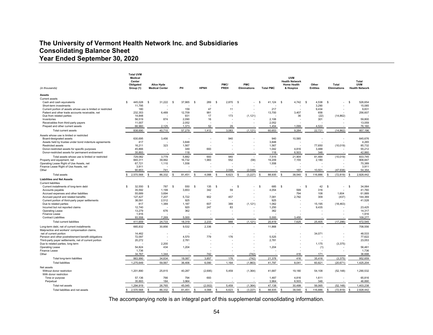### **The University of Vermont Health Network Inc. and Subsidiaries Consolidating Balance Sheet Year Ended September 30, 2020**

|                                                                                              | <b>Total UVM</b><br><b>Medical</b><br>Center |                                     |      |                 |                 |                       |                          |                                   |                  | <b>UVM</b><br><b>Health Network</b> |                          |                              | Total                               |                 |
|----------------------------------------------------------------------------------------------|----------------------------------------------|-------------------------------------|------|-----------------|-----------------|-----------------------|--------------------------|-----------------------------------|------------------|-------------------------------------|--------------------------|------------------------------|-------------------------------------|-----------------|
| (in thousands)                                                                               | Obligated<br>Group (1)                       | Alice Hyde<br><b>Medical Center</b> | PH   |                 | <b>HPNH</b>     | PMC/<br>PREH          |                          | <b>PMC</b><br><b>Eliminations</b> | <b>Total PMC</b> | <b>Home Health</b><br>& Hospice     | Other<br><b>Entities</b> | Total<br><b>Eliminations</b> | <b>UVM</b><br><b>Health Network</b> |                 |
| <b>Assets</b>                                                                                |                                              |                                     |      |                 |                 |                       |                          |                                   |                  |                                     |                          |                              |                                     |                 |
| <b>Current assets</b>                                                                        |                                              |                                     |      |                 |                 |                       |                          |                                   |                  |                                     |                          |                              |                                     |                 |
| Cash and cash equivalents                                                                    | \$<br>445,028                                | \$<br>31,222                        | - \$ | 37,965          | 289<br>- S      | $\mathbf{s}$<br>2.870 |                          | \$                                | 41,124<br>-S     | \$<br>4,742                         | 4,538<br>-S              | \$                           | $\mathbf{s}$                        | 526,654         |
| Short-term investments                                                                       | 11,795                                       |                                     |      |                 |                 |                       |                          |                                   |                  |                                     | 3,290                    |                              |                                     | 15,085          |
| Current portion of assets whose use is limited or restricted                                 | 180                                          |                                     |      | 159             | 47              |                       | 11                       |                                   | 217              |                                     | 9,434                    |                              |                                     | 9,831           |
| Patient and other trade accounts receivable, net                                             | 232,353                                      | 6,489                               |      | 12,709          | 991             |                       |                          |                                   | 13,700           | 3,407                               | 658                      |                              |                                     | 256,607         |
| Due from related parties                                                                     | 14,848                                       |                                     |      | 931             | 17              |                       | 173                      | (1, 121)                          |                  | 36                                  | (22)                     | (14, 862)                    |                                     |                 |
| Inventories                                                                                  | 56,519                                       | 874                                 |      | 2.090           | 16              |                       |                          |                                   | 2,106            |                                     | 301                      |                              |                                     | 59,800          |
| Receivables from third-party payers                                                          | 11.007                                       |                                     |      | 2.052           |                 |                       |                          |                                   | 2.052            |                                     |                          |                              |                                     | 13,059          |
| Prepaid and other current assets                                                             | 66,960                                       | 2,125                               |      | 1,373           | 52              |                       | 29                       |                                   | 1,454            | 1,099                               | 4,522                    |                              |                                     | 76,160          |
| Total current assets                                                                         | 838,690                                      | 40,710                              |      | 57,279          | 1,412           | 3,083                 |                          | (1, 121)                          | 60,653           | 9,284                               | 22,721                   | (14, 862)                    |                                     | 957,196         |
| Assets whose use is limited or restricted                                                    |                                              |                                     |      |                 |                 |                       | 940                      |                                   | 940              |                                     |                          |                              |                                     |                 |
| Board-designated assets                                                                      | 630,695<br>417                               | 3,456                               |      |                 |                 |                       |                          |                                   |                  | 10,585                              |                          |                              |                                     | 645,676         |
| Assets held by trustee under bond indenture agreements                                       |                                              | 323                                 |      | 3,848           |                 |                       |                          |                                   | 3,848<br>1,567   |                                     |                          |                              |                                     | 4,265<br>85,732 |
| Restricted assets<br>Donor-restricted assets for specific purposes                           | 16,211<br>45,866                             |                                     |      | 1,567<br>349    | 693             |                       |                          |                                   | 1,042            | 4,816                               | 77,650<br>3,488          | (10, 019)                    |                                     | 55,212          |
| Donor-restricted assets for permanent endowment                                              | 35,893                                       |                                     |      | 118             |                 |                       |                          |                                   | 118              | 6,503                               | 346                      |                              |                                     | 42,860          |
|                                                                                              |                                              | 3.779                               |      |                 |                 |                       |                          |                                   |                  |                                     |                          |                              |                                     | 833.745         |
| Total assets whose use is limited or restricted                                              | 729.082                                      | 39,992                              |      | 5.882           | 693             |                       | 940<br>552               |                                   | 7.515            | 21.904                              | 81.484                   | (10, 019)                    |                                     | 908,847         |
| Property and equipment, net<br>Operating Lease Right of Use Assets, net                      | 840,311<br>67,721                            | 1,110                               |      | 16,732<br>1,558 | 1,983           |                       |                          | (58)                              | 19,209<br>1,558  | 7,155                               | 2,180                    |                              |                                     | 70,389          |
| Finance Lease Right of Use Assets, net                                                       | 3,911                                        |                                     |      |                 |                 |                       |                          |                                   |                  |                                     |                          |                              |                                     | 3,911           |
| Other                                                                                        | 90,853                                       | 741                                 |      |                 |                 | 2.048                 |                          | (2,048)                           |                  | 197                                 | 10,501                   | (47, 938)                    |                                     | 54,354          |
| <b>Total assets</b>                                                                          | 2,570,568<br><b>S</b>                        | 86,332<br>\$                        | \$.  | 81,451          | \$.<br>4,088    | 6,623<br>-S.          |                          | (3,227)<br>\$.                    | 88,935<br>\$.    | 38,540<br>\$.                       | 116,886<br>£.            | s.<br>(72, 819)              | £.                                  | 2,828,442       |
| <b>Liabilities and Net Assets</b>                                                            |                                              |                                     |      |                 |                 |                       |                          |                                   |                  |                                     |                          |                              |                                     |                 |
| <b>Current liabilities</b>                                                                   |                                              |                                     |      |                 |                 |                       |                          |                                   |                  |                                     |                          |                              |                                     |                 |
| Current installments of long-term debt                                                       | 32,550<br>\$                                 | \$<br>787                           | \$   | 550             | <b>S</b><br>135 | $\mathbf{s}$          |                          | S<br>٠                            | -S<br>685        | -S                                  | 42<br>$\mathbf{s}$       | s                            | \$                                  | 34,064          |
| Accounts payable                                                                             | 35,592                                       | 1,199                               |      | 3,653           | 342             |                       | 59                       |                                   | 4,054            | 599                                 | 316                      |                              |                                     | 41,760          |
| Accrued expenses and other liabilities                                                       | 55,689                                       | 3,694                               |      |                 |                 |                       |                          |                                   |                  | 794                                 | 108                      | 1,604                        |                                     | 61,889          |
| Accrued payroll and related benefits                                                         | 127,427                                      | 7,207                               |      | 5,722           | 902             |                       | 457                      |                                   | 7,081            | 2,782                               | 309                      | (437)                        |                                     | 144,369         |
| Current portion of third-party payer settlements                                             | 38,091                                       | 2,512                               |      | 925             |                 |                       |                          |                                   | 925              |                                     |                          |                              |                                     | 41,528          |
| Due to related parties                                                                       | 817                                          | 1,389                               |      | 1,187           | 607             |                       | 389                      | (1, 121)                          | 1,062            |                                     | 15,195                   | (18, 463)                    |                                     |                 |
| Incurred but not reported claims                                                             | 12,740                                       |                                     |      | 920             | 247             |                       | 83                       |                                   | 1,250            |                                     | 9,435                    |                              |                                     | 23,425          |
| Operating Lease                                                                              | 13,279                                       | 676                                 |      | 362             |                 |                       |                          |                                   | 362              |                                     |                          |                              |                                     | 14,317          |
| Finance Lease                                                                                | 1,916                                        |                                     |      |                 |                 |                       |                          |                                   |                  |                                     |                          |                              |                                     | 1,916           |
| <b>Contract Liabilities</b>                                                                  | 93,558                                       | 7,269                               |      | 5,000           |                 |                       |                          |                                   | 5,000            | 3,450                               |                          |                              |                                     | 109,277         |
| <b>Total current liabilities</b>                                                             | 411,659                                      | 24,733                              |      | 18,319          | 2,233           |                       | 988                      | (1, 121)                          | 20,419           | 7,625                               | 25,405                   | (17, 296)                    |                                     | 472,545         |
| Long-term debt, net of current installments<br>Malpractice and workers' compensation claims, | 665,832                                      | 30,856                              |      | 9,532           | 2,336           |                       |                          |                                   | 11,868           |                                     |                          |                              |                                     | 708,556         |
| net of current portion                                                                       | 14,462                                       |                                     |      |                 |                 |                       |                          |                                   |                  |                                     | 34,071                   |                              |                                     | 48.533          |
| Pension and other postretirement benefit obligations                                         | 72,097                                       |                                     |      | 4,570           | 779             |                       | 176                      |                                   | 5.525            |                                     |                          |                              |                                     | 77,622          |
| Third-party payer settlements, net of current portion                                        | 20,272                                       |                                     |      | 2,781           |                 |                       |                          |                                   | 2,781            |                                     |                          |                              |                                     | 23,053          |
| Due to related parties, long term                                                            |                                              | 2,200                               |      |                 |                 |                       |                          |                                   |                  |                                     | 1,175                    | (3, 375)                     |                                     |                 |
| Operating Lease                                                                              | 54,824                                       | 434                                 |      | 1,204           |                 |                       |                          |                                   | 1,204            |                                     | (1)                      |                              |                                     | 56,461          |
| Finance Lease                                                                                | 1,736                                        |                                     |      |                 |                 |                       |                          |                                   |                  |                                     |                          |                              |                                     | 1,736           |
| Other                                                                                        | 34,767                                       | 1,344                               |      |                 | 742             |                       |                          | (742)                             |                  | 416                                 | 171                      |                              |                                     | 36,698          |
| Total long-term liabilities                                                                  | 863,990                                      | 34,834                              |      | 18,087          | 3,857           |                       | 176                      | (742)                             | 21,378           | 416                                 | 35,416                   | (3, 375)                     |                                     | 952,659         |
| <b>Total liabilities</b>                                                                     | 1,275,649                                    | 59,567                              |      | 36,406          | 6,090           | 1,164                 |                          | (1,863)                           | 41,797           | 8,041                               | 60,821                   | (20, 671)                    |                                     | 1,425,204       |
| Net assets                                                                                   |                                              |                                     |      |                 |                 |                       |                          |                                   |                  |                                     |                          |                              |                                     |                 |
| Without donor restriction<br>With donor restriction                                          | 1,201,890                                    | 25,815                              |      | 40,287          | (2,695)         | 5,459                 |                          | (1, 364)                          | 41,687           | 19,180                              | 54,108                   | (52, 148)                    |                                     | 1,290,532       |
| Time or purpose                                                                              | 57,136                                       | 766                                 |      | 794             | 693             |                       | $\overline{\phantom{a}}$ |                                   | 1,487            | 4,816                               | 1,611                    |                              |                                     | 65,816          |
| Perpetual                                                                                    | 35,893                                       | 184                                 |      | 3,964           |                 |                       |                          |                                   | 3,964            | 6,503                               | 346                      |                              |                                     | 46,890          |
| Total net assets                                                                             | 1.294.919                                    | 26,765                              |      | 45,045          | (2,002)         | 5,459                 |                          | (1, 364)                          | 47,138           | 30,499                              | 56,065                   | (52, 148)                    |                                     | 1.403.238       |
| Total liabilities and net assets                                                             | 2,570,568<br>\$                              | 86,332<br>S                         |      | 81,451          | 4,088<br>S      | 6,623                 |                          | (3, 227)<br>\$                    | 88,935           | 38,540                              | 116,886                  | (72, 819)<br>\$.             |                                     | 2,828,442       |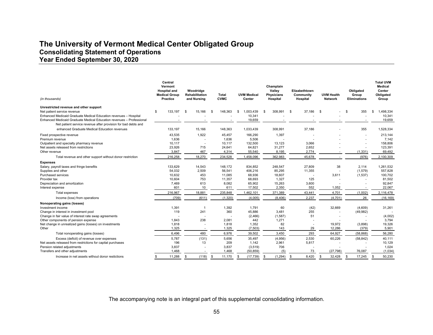### **The University of Vermont Medical Center Obligated Group Consolidating Statement of Operations Year Ended September 30, 2020**

| (in thousands)                                                                                                                        | Central<br>Vermont<br><b>Hospital and</b><br><b>Medical Group</b><br><b>Practice</b> | Woodridge<br>Rehabilitation<br>and Nursing | <b>Total</b><br><b>CVMC</b> | <b>UVM Medical</b><br>Center | Champlain<br>Valley<br><b>Physicians</b><br>Hospital | Elizabethtown<br>Community<br>Hospital | <b>UVM Health</b><br><b>Network</b> | Obligated<br>Group<br><b>Eliminations</b> | <b>Total UVM</b><br><b>Medical</b><br>Center<br>Obligated<br>Group |
|---------------------------------------------------------------------------------------------------------------------------------------|--------------------------------------------------------------------------------------|--------------------------------------------|-----------------------------|------------------------------|------------------------------------------------------|----------------------------------------|-------------------------------------|-------------------------------------------|--------------------------------------------------------------------|
| Unrestricted revenue and other support                                                                                                |                                                                                      |                                            |                             |                              |                                                      |                                        |                                     |                                           |                                                                    |
| Net patient service revenue                                                                                                           | \$<br>133,197                                                                        | 15,166<br>\$                               | 148,363                     | 1,003,439<br>\$.             | 308,991<br>. ፍ                                       | 37,186<br>- \$                         | - \$                                | 355<br>-S                                 | 1,498,334<br>\$                                                    |
| Enhanced Medicaid Graduate Medical Education revenues - Hospital                                                                      |                                                                                      |                                            |                             | 10,341                       |                                                      |                                        |                                     |                                           | 10,341                                                             |
| Enhanced Medicaid Graduate Medical Education revenues - Professional<br>Net patient service revenue after provision for bad debts and |                                                                                      |                                            |                             | 19,659                       |                                                      |                                        |                                     |                                           | 19,659                                                             |
| enhanced Graduate Medical Education revenues                                                                                          | 133,197                                                                              | 15,166                                     | 148,363                     | 1,033,439                    | 308,991                                              | 37,186                                 |                                     | 355                                       | 1,528,334                                                          |
| Fixed prospective revenue                                                                                                             | 43,535                                                                               | 1,922                                      | 45,457                      | 166,290                      | 1,397                                                |                                        |                                     |                                           | 213,144                                                            |
| Premium revenue                                                                                                                       | 1,636                                                                                |                                            | 1,636                       | 5,506                        |                                                      |                                        |                                     |                                           | 7,142                                                              |
| Outpatient and specialty pharmacy revenue                                                                                             | 10,117                                                                               |                                            | 10,117                      | 132,500                      | 13,123                                               | 3,066                                  |                                     |                                           | 158,806                                                            |
| Net assets released from restrictions                                                                                                 | 23,926                                                                               | 715                                        | 24,641                      | 64.821                       | 31,277                                               | 2,652                                  |                                     |                                           | 123,391                                                            |
| Other revenue                                                                                                                         | 3,847                                                                                | 467                                        | 4,314                       | 55,540                       | 8,195                                                | 2,774                                  |                                     | (1, 331)                                  | 69,492                                                             |
| Total revenue and other support without donor restriction                                                                             | 216,258                                                                              | 18,270                                     | 234,528                     | 1,458,096                    | 362,983                                              | 45,678                                 |                                     | (976)                                     | 2,100,309                                                          |
| <b>Expenses</b>                                                                                                                       |                                                                                      |                                            |                             |                              |                                                      |                                        |                                     |                                           |                                                                    |
| Salary, payroll taxes and fringe benefits                                                                                             | 133.629                                                                              | 14,543                                     | 148.172                     | 834.852                      | 248,547                                              | 27.809                                 | 38                                  | 2.114                                     | 1,261,532                                                          |
| Supplies and other                                                                                                                    | 54,032                                                                               | 2,509                                      | 56,541                      | 406,216                      | 85,295                                               | 11,355                                 |                                     | (1,579)                                   | 557,828                                                            |
| Purchased services                                                                                                                    | 10,632                                                                               | 453                                        | 11,085                      | 68,936                       | 18,607                                               |                                        | 3,611                               | (1,537)                                   | 100,702                                                            |
| Provider tax                                                                                                                          | 10.604                                                                               | 753                                        | 11,357                      | 68,693                       | 1,327                                                | 125                                    |                                     |                                           | 81,502                                                             |
| Depreciation and amortization                                                                                                         | 7,469                                                                                | 613                                        | 8,082                       | 65,902                       | 15,263                                               | 3,600                                  |                                     |                                           | 92,847                                                             |
| Interest expense                                                                                                                      | 601                                                                                  | 10                                         | 611                         | 17,502                       | 2,350                                                | 552                                    | 1,052                               |                                           | 22,067                                                             |
| Total expenses                                                                                                                        | 216,967                                                                              | 18,881                                     | 235,848                     | 1,462,101                    | 371,389                                              | 43,441                                 | 4,701                               | (1,002)                                   | 2,116,478                                                          |
| Income (loss) from operations                                                                                                         | (709)                                                                                | (611)                                      | (1,320)                     | (4,005)                      | (8, 406)                                             | 2,237                                  | (4,701)                             | 26                                        | (16, 169)                                                          |
| Nonoperating gains (losses)                                                                                                           |                                                                                      |                                            |                             |                              |                                                      |                                        |                                     |                                           |                                                                    |
| Investment income                                                                                                                     | 1,391                                                                                | - 1                                        | 1,392                       | 1,791                        | 60                                                   | (42)                                   | 32,669                              | (4,609)                                   | 31,261                                                             |
| Change in interest in investment pool                                                                                                 | 119                                                                                  | 241                                        | 360                         | 45,886                       | 3,481                                                | 255                                    |                                     | (49, 982)                                 |                                                                    |
| Change in fair value of interest rate swap agreements                                                                                 |                                                                                      |                                            |                             | (2,466)                      | (1,587)                                              | 51                                     |                                     |                                           | (4,002)                                                            |
| Other components of pension expense                                                                                                   | 1,843                                                                                | 238                                        | 2,081                       | 442                          | 1,271                                                |                                        |                                     |                                           | 3,794                                                              |
| Net change in unrealized gains (losses) on investments                                                                                | 1,818                                                                                |                                            | 1,818                       | 1,352                        | 82                                                   |                                        | 19,972                              | (3,898)                                   | 19,326                                                             |
| Other                                                                                                                                 | 1,325                                                                                |                                            | 1,325                       | (7, 503)                     | 143                                                  | 29                                     | 12,286                              | (379)                                     | 5,901                                                              |
| Total nonoperating gains (losses)                                                                                                     | 6,496                                                                                | 480                                        | 6,976                       | 39,502                       | 3,450                                                | 293                                    | 64,927                              | (58, 868)                                 | 56,280                                                             |
| Excess (deficit) of revenue over expenses                                                                                             | 5,787                                                                                | (131)                                      | 5,656                       | 35,497                       | (4,956)                                              | 2,530                                  | 60,226                              | (58, 842)                                 | 40,111                                                             |
| Net assets released from restrictions for capital purchases                                                                           | 196                                                                                  | 13                                         | 209                         | 1,142                        | 2,961                                                | 5,817                                  |                                     |                                           | 10,129                                                             |
| Pension related adjustments                                                                                                           | 3,837                                                                                |                                            | 3,837                       | (3,519)                      | 706                                                  |                                        |                                     |                                           | 1,024                                                              |
| Transfers and other adjustments                                                                                                       | 1.468                                                                                |                                            | 1,468                       | (50, 859)                    | (5)                                                  | 73                                     | (27, 798)                           | 76.087                                    | (1,034)                                                            |
| Increase in net assets without donor restictions                                                                                      | 11,288<br>\$                                                                         | (118)<br>\$                                | 11,170<br>\$                | (17, 739)<br>-S              | (1, 294)<br>-\$                                      | 8,420<br>- \$                          | \$<br>32,428                        | $\mathbf{s}$<br>17,245                    | 50,230<br><b>S</b>                                                 |